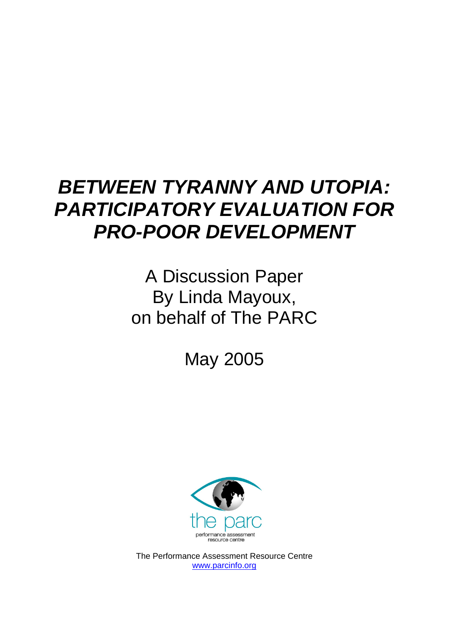# *BETWEEN TYRANNY AND UTOPIA: PARTICIPATORY EVALUATION FOR PRO-POOR DEVELOPMENT*

A Discussion Paper By Linda Mayoux, on behalf of The PARC

May 2005



The Performance Assessment Resource Centre [www.parcinfo.org](http://www.parcinfo.org/)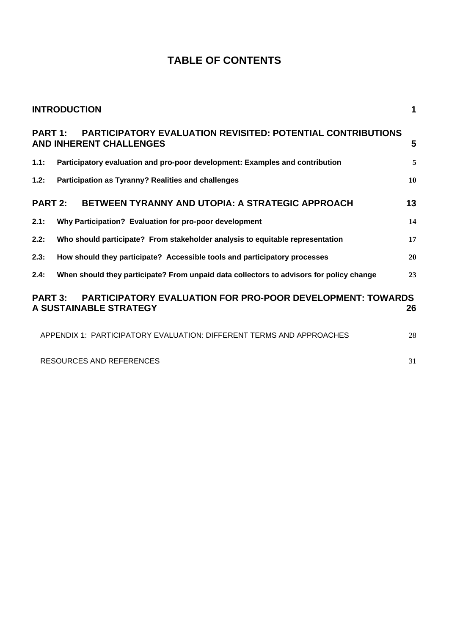# **TABLE OF CONTENTS**

|                                                                                                                     | <b>INTRODUCTION</b>                                                                                  | 1  |  |  |  |  |  |  |
|---------------------------------------------------------------------------------------------------------------------|------------------------------------------------------------------------------------------------------|----|--|--|--|--|--|--|
| <b>PART 1:</b>                                                                                                      | <b>PARTICIPATORY EVALUATION REVISITED: POTENTIAL CONTRIBUTIONS</b><br><b>AND INHERENT CHALLENGES</b> | 5  |  |  |  |  |  |  |
| 1.1:                                                                                                                | Participatory evaluation and pro-poor development: Examples and contribution                         | 5  |  |  |  |  |  |  |
| 1.2:                                                                                                                | Participation as Tyranny? Realities and challenges                                                   | 10 |  |  |  |  |  |  |
|                                                                                                                     | <b>BETWEEN TYRANNY AND UTOPIA: A STRATEGIC APPROACH</b><br><b>PART 2:</b>                            | 13 |  |  |  |  |  |  |
| 2.1:                                                                                                                | Why Participation? Evaluation for pro-poor development                                               | 14 |  |  |  |  |  |  |
| 2.2:                                                                                                                | Who should participate? From stakeholder analysis to equitable representation                        | 17 |  |  |  |  |  |  |
| 2.3:                                                                                                                | How should they participate? Accessible tools and participatory processes                            | 20 |  |  |  |  |  |  |
| 2.4:                                                                                                                | When should they participate? From unpaid data collectors to advisors for policy change              | 23 |  |  |  |  |  |  |
| <b>PARTICIPATORY EVALUATION FOR PRO-POOR DEVELOPMENT: TOWARDS</b><br><b>PART 3:</b><br>A SUSTAINABLE STRATEGY<br>26 |                                                                                                      |    |  |  |  |  |  |  |
|                                                                                                                     | APPENDIX 1: PARTICIPATORY EVALUATION: DIFFERENT TERMS AND APPROACHES                                 | 28 |  |  |  |  |  |  |
|                                                                                                                     | RESOURCES AND REFERENCES                                                                             | 31 |  |  |  |  |  |  |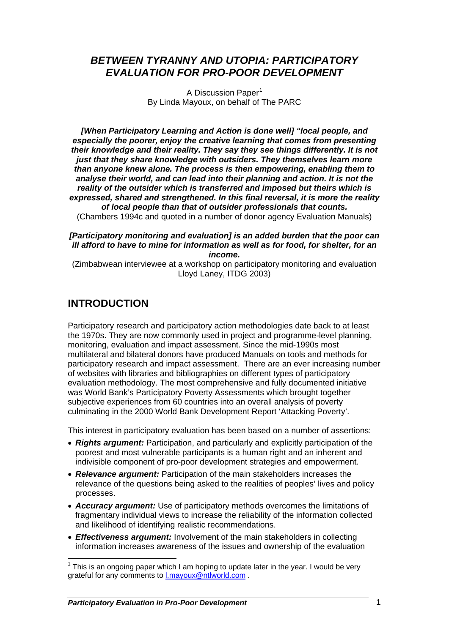# *BETWEEN TYRANNY AND UTOPIA: PARTICIPATORY EVALUATION FOR PRO-POOR DEVELOPMENT*

A Discussion Paper<sup>1</sup> By Linda Mayoux, on behalf of The PARC

*[When Participatory Learning and Action is done well] "local people, and especially the poorer, enjoy the creative learning that comes from presenting their knowledge and their reality. They say they see things differently. It is not just that they share knowledge with outsiders. They themselves learn more than anyone knew alone. The process is then empowering, enabling them to analyse their world, and can lead into their planning and action. It is not the reality of the outsider which is transferred and imposed but theirs which is expressed, shared and strengthened. In this final reversal, it is more the reality of local people than that of outsider professionals that counts.* (Chambers 1994c and quoted in a number of donor agency Evaluation Manuals)

*[Participatory monitoring and evaluation] is an added burden that the poor can ill afford to have to mine for information as well as for food, for shelter, for an income.* 

(Zimbabwean interviewee at a workshop on participatory monitoring and evaluation Lloyd Laney, ITDG 2003)

# **INTRODUCTION**

Participatory research and participatory action methodologies date back to at least the 1970s. They are now commonly used in project and programme-level planning, monitoring, evaluation and impact assessment. Since the mid-1990s most multilateral and bilateral donors have produced Manuals on tools and methods for participatory research and impact assessment. There are an ever increasing number of websites with libraries and bibliographies on different types of participatory evaluation methodology. The most comprehensive and fully documented initiative was World Bank's Participatory Poverty Assessments which brought together subjective experiences from 60 countries into an overall analysis of poverty culminating in the 2000 World Bank Development Report 'Attacking Poverty'.

This interest in participatory evaluation has been based on a number of assertions:

- *Rights argument:* Participation, and particularly and explicitly participation of the poorest and most vulnerable participants is a human right and an inherent and indivisible component of pro-poor development strategies and empowerment.
- *Relevance argument:* Participation of the main stakeholders increases the relevance of the questions being asked to the realities of peoples' lives and policy processes.
- *Accuracy argument:* Use of participatory methods overcomes the limitations of fragmentary individual views to increase the reliability of the information collected and likelihood of identifying realistic recommendations.
- *Effectiveness argument:* Involvement of the main stakeholders in collecting information increases awareness of the issues and ownership of the evaluation

<sup>————————————————————&</sup>lt;br><sup>1</sup> This is an ongoing paper which I am hoping to update later in the year. I would be very grateful for any comments to l.mayoux@ntlworld.com .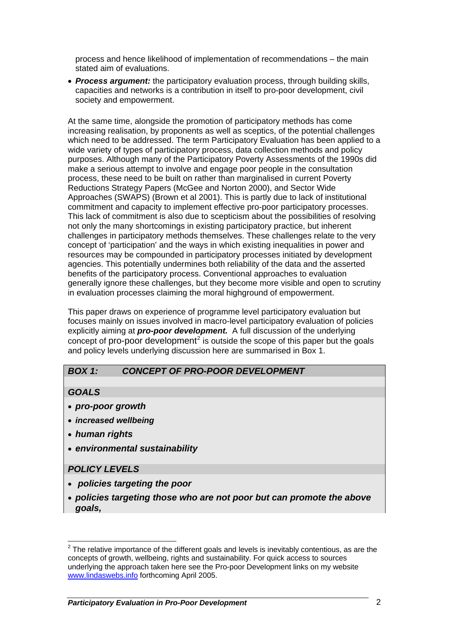process and hence likelihood of implementation of recommendations – the main stated aim of evaluations.

• *Process argument:* the participatory evaluation process, through building skills, capacities and networks is a contribution in itself to pro-poor development, civil society and empowerment.

At the same time, alongside the promotion of participatory methods has come increasing realisation, by proponents as well as sceptics, of the potential challenges which need to be addressed. The term Participatory Evaluation has been applied to a wide variety of types of participatory process, data collection methods and policy purposes. Although many of the Participatory Poverty Assessments of the 1990s did make a serious attempt to involve and engage poor people in the consultation process, these need to be built on rather than marginalised in current Poverty Reductions Strategy Papers (McGee and Norton 2000), and Sector Wide Approaches (SWAPS) (Brown et al 2001). This is partly due to lack of institutional commitment and capacity to implement effective pro-poor participatory processes. This lack of commitment is also due to scepticism about the possibilities of resolving not only the many shortcomings in existing participatory practice, but inherent challenges in participatory methods themselves. These challenges relate to the very concept of 'participation' and the ways in which existing inequalities in power and resources may be compounded in participatory processes initiated by development agencies. This potentially undermines both reliability of the data and the asserted benefits of the participatory process. Conventional approaches to evaluation generally ignore these challenges, but they become more visible and open to scrutiny in evaluation processes claiming the moral highground of empowerment.

This paper draws on experience of programme level participatory evaluation but focuses mainly on issues involved in macro-level participatory evaluation of policies explicitly aiming at *pro-poor development.* A full discussion of the underlying concept of pro-poor development<sup>2</sup> is outside the scope of this paper but the goals and policy levels underlying discussion here are summarised in Box 1.

### *BOX 1: CONCEPT OF PRO-POOR DEVELOPMENT*

### *GOALS*

- *pro-poor growth*
- *increased wellbeing*
- *human rights*
- *environmental sustainability*

### *POLICY LEVELS*

- • *policies targeting the poor*
- *policies targeting those who are not poor but can promote the above goals,*

 2 The relative importance of the different goals and levels is inevitably contentious, as are the concepts of growth, wellbeing, rights and sustainability. For quick access to sources underlying the approach taken here see the Pro-poor Development links on my website www.lindaswebs.info forthcoming April 2005.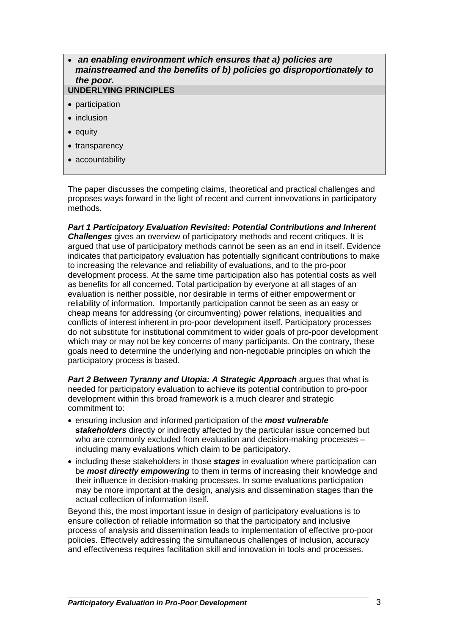• *an enabling environment which ensures that a) policies are mainstreamed and the benefits of b) policies go disproportionately to the poor.*

### **UNDERLYING PRINCIPLES**

- participation
- inclusion
- equity
- transparency
- accountability

The paper discusses the competing claims, theoretical and practical challenges and proposes ways forward in the light of recent and current innvovations in participatory methods.

*Part 1 Participatory Evaluation Revisited: Potential Contributions and Inherent Challenges* gives an overview of participatory methods and recent critiques. It is argued that use of participatory methods cannot be seen as an end in itself. Evidence indicates that participatory evaluation has potentially significant contributions to make to increasing the relevance and reliability of evaluations, and to the pro-poor development process. At the same time participation also has potential costs as well as benefits for all concerned. Total participation by everyone at all stages of an evaluation is neither possible, nor desirable in terms of either empowerment or reliability of information. Importantly participation cannot be seen as an easy or cheap means for addressing (or circumventing) power relations, inequalities and conflicts of interest inherent in pro-poor development itself. Participatory processes do not substitute for institutional commitment to wider goals of pro-poor development which may or may not be key concerns of many participants. On the contrary, these goals need to determine the underlying and non-negotiable principles on which the participatory process is based.

**Part 2 Between Tyranny and Utopia: A Strategic Approach** argues that what is needed for participatory evaluation to achieve its potential contribution to pro-poor development within this broad framework is a much clearer and strategic commitment to:

- ensuring inclusion and informed participation of the *most vulnerable stakeholders* directly or indirectly affected by the particular issue concerned but who are commonly excluded from evaluation and decision-making processes – including many evaluations which claim to be participatory.
- including these stakeholders in those *stages* in evaluation where participation can be *most directly empowering* to them in terms of increasing their knowledge and their influence in decision-making processes. In some evaluations participation may be more important at the design, analysis and dissemination stages than the actual collection of information itself.

Beyond this, the most important issue in design of participatory evaluations is to ensure collection of reliable information so that the participatory and inclusive process of analysis and dissemination leads to implementation of effective pro-poor policies. Effectively addressing the simultaneous challenges of inclusion, accuracy and effectiveness requires facilitation skill and innovation in tools and processes.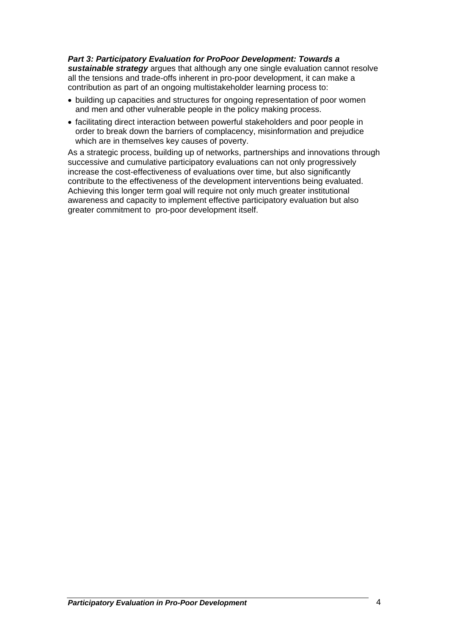### *Part 3: Participatory Evaluation for ProPoor Development: Towards a*

*sustainable strategy* argues that although any one single evaluation cannot resolve all the tensions and trade-offs inherent in pro-poor development, it can make a contribution as part of an ongoing multistakeholder learning process to:

- building up capacities and structures for ongoing representation of poor women and men and other vulnerable people in the policy making process.
- facilitating direct interaction between powerful stakeholders and poor people in order to break down the barriers of complacency, misinformation and prejudice which are in themselves key causes of poverty.

As a strategic process, building up of networks, partnerships and innovations through successive and cumulative participatory evaluations can not only progressively increase the cost-effectiveness of evaluations over time, but also significantly contribute to the effectiveness of the development interventions being evaluated. Achieving this longer term goal will require not only much greater institutional awareness and capacity to implement effective participatory evaluation but also greater commitment to pro-poor development itself.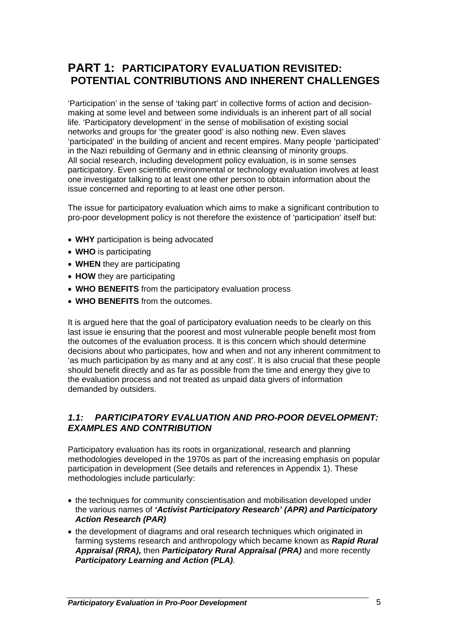# <span id="page-6-0"></span>**PART 1: PARTICIPATORY EVALUATION REVISITED: POTENTIAL CONTRIBUTIONS AND INHERENT CHALLENGES**

'Participation' in the sense of 'taking part' in collective forms of action and decisionmaking at some level and between some individuals is an inherent part of all social life. 'Participatory development' in the sense of mobilisation of existing social networks and groups for 'the greater good' is also nothing new. Even slaves 'participated' in the building of ancient and recent empires. Many people 'participated' in the Nazi rebuilding of Germany and in ethnic cleansing of minority groups. All social research, including development policy evaluation, is in some senses participatory. Even scientific environmental or technology evaluation involves at least one investigator talking to at least one other person to obtain information about the issue concerned and reporting to at least one other person.

The issue for participatory evaluation which aims to make a significant contribution to pro-poor development policy is not therefore the existence of 'participation' itself but:

- **WHY** participation is being advocated
- **WHO** is participating
- **WHEN** they are participating
- **HOW** they are participating
- **WHO BENEFITS** from the participatory evaluation process
- **WHO BENEFITS** from the outcomes.

It is argued here that the goal of participatory evaluation needs to be clearly on this last issue ie ensuring that the poorest and most vulnerable people benefit most from the outcomes of the evaluation process. It is this concern which should determine decisions about who participates, how and when and not any inherent commitment to 'as much participation by as many and at any cost'. It is also crucial that these people should benefit directly and as far as possible from the time and energy they give to the evaluation process and not treated as unpaid data givers of information demanded by outsiders.

### *1.1: PARTICIPATORY EVALUATION AND PRO-POOR DEVELOPMENT: EXAMPLES AND CONTRIBUTION*

Participatory evaluation has its roots in organizational, research and planning methodologies developed in the 1970s as part of the increasing emphasis on popular participation in development (See details and references in Appendix 1). These methodologies include particularly:

- the techniques for community conscientisation and mobilisation developed under the various names of *'Activist Participatory Research' (APR) and Participatory Action Research (PAR)*
- the development of diagrams and oral research techniques which originated in farming systems research and anthropology which became known as *Rapid Rural Appraisal (RRA),* then *Participatory Rural Appraisal (PRA)* and more recently *Participatory Learning and Action (PLA)*.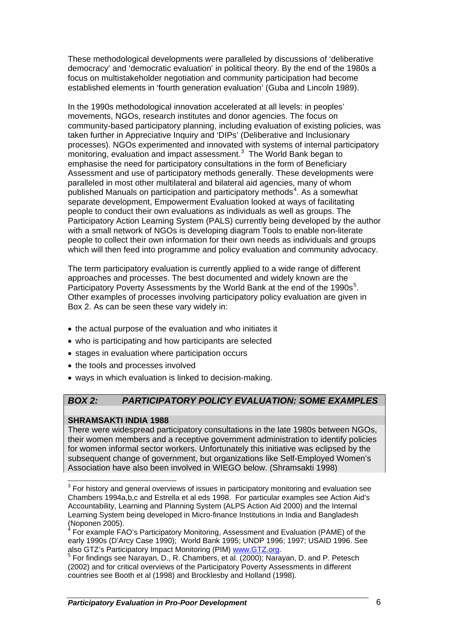These methodological developments were paralleled by discussions of 'deliberative democracy' and 'democratic evaluation' in political theory. By the end of the 1980s a focus on multistakeholder negotiation and community participation had become established elements in 'fourth generation evaluation' (Guba and Lincoln 1989).

In the 1990s methodological innovation accelerated at all levels: in peoples' movements, NGOs, research institutes and donor agencies. The focus on community-based participatory planning, including evaluation of existing policies, was taken further in Appreciative Inquiry and 'DIPs' (Deliberative and Inclusionary processes). NGOs experimented and innovated with systems of internal participatory monitoring, evaluation and impact assessment. $3$  The World Bank began to emphasise the need for participatory consultations in the form of Beneficiary Assessment and use of participatory methods generally. These developments were paralleled in most other multilateral and bilateral aid agencies, many of whom published Manuals on participation and participatory methods<sup>4</sup>. As a somewhat separate development, Empowerment Evaluation looked at ways of facilitating people to conduct their own evaluations as individuals as well as groups. The Participatory Action Learning System (PALS) currently being developed by the author with a small network of NGOs is developing diagram Tools to enable non-literate people to collect their own information for their own needs as individuals and groups which will then feed into programme and policy evaluation and community advocacy.

The term participatory evaluation is currently applied to a wide range of different approaches and processes. The best documented and widely known are the Participatory Poverty Assessments by the World Bank at the end of the 1990s<sup>5</sup>. Other examples of processes involving participatory policy evaluation are given in Box 2. As can be seen these vary widely in:

- the actual purpose of the evaluation and who initiates it
- who is participating and how participants are selected
- stages in evaluation where participation occurs
- the tools and processes involved
- ways in which evaluation is linked to decision-making.

### *BOX 2: PARTICIPATORY POLICY EVALUATION: SOME EXAMPLES*

#### **SHRAMSAKTI INDIA 1988**

There were widespread participatory consultations in the late 1980s between NGOs, their women members and a receptive government administration to identify policies for women informal sector workers. Unfortunately this initiative was eclipsed by the subsequent change of government, but organizations like Self-Employed Women's Association have also been involved in WIEGO below. (Shramsakti 1998)

<sup>1</sup>  $3$  For history and general overviews of issues in participatory monitoring and evaluation see Chambers 1994a,b,c and Estrella et al eds 1998. For particular examples see Action Aid's Accountability, Learning and Planning System (ALPS Action Aid 2000) and the Internal Learning System being developed in Micro-finance Institutions in India and Bangladesh (Noponen 2005).<br><sup>4</sup> Eer exemple EA

For example FAO's Participatory Monitoring, Assessment and Evaluation (PAME) of the early 1990s (D'Arcy Case 1990); World Bank 1995; UNDP 1996; 1997; USAID 1996. See also GTZ's Participatory Impact Monitoring (PIM) www.GTZ.org. 5

For findings see Narayan, D., R. Chambers, et al. (2000); Narayan, D. and P. Petesch (2002) and for critical overviews of the Participatory Poverty Assessments in different countries see Booth et al (1998) and Brocklesby and Holland (1998).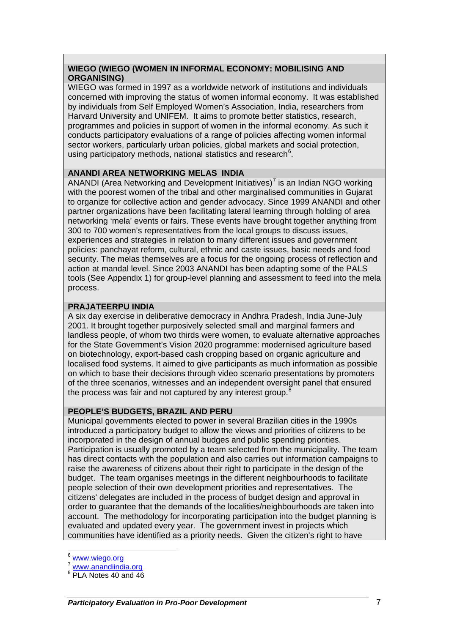### **WIEGO (WIEGO (WOMEN IN INFORMAL ECONOMY: MOBILISING AND ORGANISING)**

WIEGO was formed in 1997 as a worldwide network of institutions and individuals concerned with improving the status of women informal economy. It was established by individuals from Self Employed Women's Association, India, researchers from Harvard University and UNIFEM. It aims to promote better statistics, research, programmes and policies in support of women in the informal economy. As such it conducts participatory evaluations of a range of policies affecting women informal sector workers, particularly urban policies, global markets and social protection, using participatory methods, national statistics and research<sup>6</sup>.

### **ANANDI AREA NETWORKING MELAS INDIA**

ANANDI (Area Networking and Development Initiatives) $<sup>7</sup>$  is an Indian NGO working</sup> with the poorest women of the tribal and other marginalised communities in Gujarat to organize for collective action and gender advocacy. Since 1999 ANANDI and other partner organizations have been facilitating lateral learning through holding of area networking 'mela' events or fairs. These events have brought together anything from 300 to 700 women's representatives from the local groups to discuss issues, experiences and strategies in relation to many different issues and government policies: panchayat reform, cultural, ethnic and caste issues, basic needs and food security. The melas themselves are a focus for the ongoing process of reflection and action at mandal level. Since 2003 ANANDI has been adapting some of the PALS tools (See Appendix 1) for group-level planning and assessment to feed into the mela process.

### **PRAJATEERPU INDIA**

A six day exercise in deliberative democracy in Andhra Pradesh, India June-July 2001. It brought together purposively selected small and marginal farmers and landless people, of whom two thirds were women, to evaluate alternative approaches for the State Government's Vision 2020 programme: modernised agriculture based on biotechnology, export-based cash cropping based on organic agriculture and localised food systems. It aimed to give participants as much information as possible on which to base their decisions through video scenario presentations by promoters of the three scenarios, witnesses and an independent oversight panel that ensured the process was fair and not captured by any interest group.<sup>8</sup>

### **PEOPLE'S BUDGETS, BRAZIL AND PERU**

Municipal governments elected to power in several Brazilian cities in the 1990s introduced a participatory budget to allow the views and priorities of citizens to be incorporated in the design of annual budges and public spending priorities. Participation is usually promoted by a team selected from the municipality. The team has direct contacts with the population and also carries out information campaigns to raise the awareness of citizens about their right to participate in the design of the budget. The team organises meetings in the different neighbourhoods to facilitate people selection of their own development priorities and representatives. The citizens' delegates are included in the process of budget design and approval in order to guarantee that the demands of the localities/neighbourhoods are taken into account. The methodology for incorporating participation into the budget planning is evaluated and updated every year. The government invest in projects which communities have identified as a priority needs. Given the citizen's right to have

1

<sup>6</sup> www.wiego.org

<sup>7</sup> www.anandiindia.org

<sup>&</sup>lt;sup>8</sup> PLA Notes 40 and 46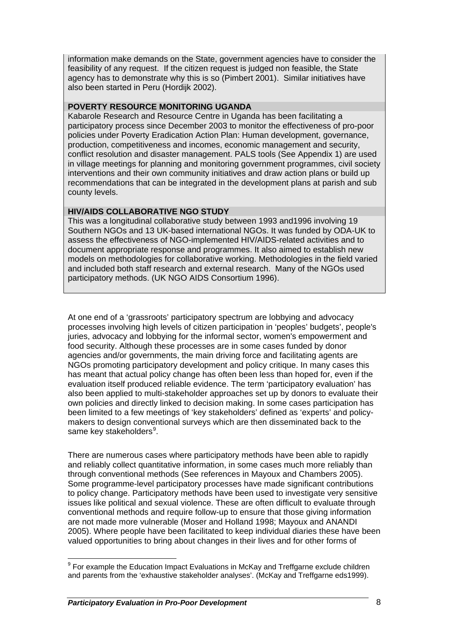information make demands on the State, government agencies have to consider the feasibility of any request. If the citizen request is judged non feasible, the State agency has to demonstrate why this is so (Pimbert 2001). Similar initiatives have also been started in Peru (Hordijk 2002).

### **POVERTY RESOURCE MONITORING UGANDA**

Kabarole Research and Resource Centre in Uganda has been facilitating a participatory process since December 2003 to monitor the effectiveness of pro-poor policies under Poverty Eradication Action Plan: Human development, governance, production, competitiveness and incomes, economic management and security, conflict resolution and disaster management. PALS tools (See Appendix 1) are used in village meetings for planning and monitoring government programmes, civil society interventions and their own community initiatives and draw action plans or build up recommendations that can be integrated in the development plans at parish and sub county levels.

### **HIV/AIDS COLLABORATIVE NGO STUDY**

This was a longitudinal collaborative study between 1993 and1996 involving 19 Southern NGOs and 13 UK-based international NGOs. It was funded by ODA-UK to assess the effectiveness of NGO-implemented HIV/AIDS-related activities and to document appropriate response and programmes. It also aimed to establish new models on methodologies for collaborative working. Methodologies in the field varied and included both staff research and external research. Many of the NGOs used participatory methods. (UK NGO AIDS Consortium 1996).

At one end of a 'grassroots' participatory spectrum are lobbying and advocacy processes involving high levels of citizen participation in 'peoples' budgets', people's juries, advocacy and lobbying for the informal sector, women's empowerment and food security. Although these processes are in some cases funded by donor agencies and/or governments, the main driving force and facilitating agents are NGOs promoting participatory development and policy critique. In many cases this has meant that actual policy change has often been less than hoped for, even if the evaluation itself produced reliable evidence. The term 'participatory evaluation' has also been applied to multi-stakeholder approaches set up by donors to evaluate their own policies and directly linked to decision making. In some cases participation has been limited to a few meetings of 'key stakeholders' defined as 'experts' and policymakers to design conventional surveys which are then disseminated back to the same key stakeholders<sup>9</sup>.

There are numerous cases where participatory methods have been able to rapidly and reliably collect quantitative information, in some cases much more reliably than through conventional methods (See references in Mayoux and Chambers 2005). Some programme-level participatory processes have made significant contributions to policy change. Participatory methods have been used to investigate very sensitive issues like political and sexual violence. These are often difficult to evaluate through conventional methods and require follow-up to ensure that those giving information are not made more vulnerable (Moser and Holland 1998; Mayoux and ANANDI 2005). Where people have been facilitated to keep individual diaries these have been valued opportunities to bring about changes in their lives and for other forms of

 9 For example the Education Impact Evaluations in McKay and Treffgarne exclude children and parents from the 'exhaustive stakeholder analyses'. (McKay and Treffgarne eds1999).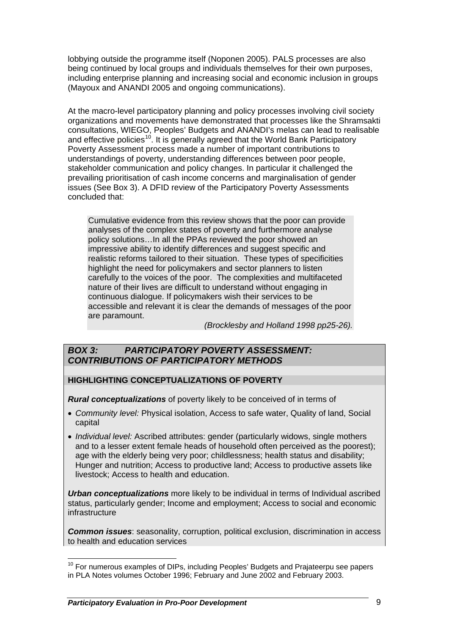lobbying outside the programme itself (Noponen 2005). PALS processes are also being continued by local groups and individuals themselves for their own purposes, including enterprise planning and increasing social and economic inclusion in groups (Mayoux and ANANDI 2005 and ongoing communications).

At the macro-level participatory planning and policy processes involving civil society organizations and movements have demonstrated that processes like the Shramsakti consultations, WIEGO, Peoples' Budgets and ANANDI's melas can lead to realisable and effective policies<sup>10</sup>. It is generally agreed that the World Bank Participatory Poverty Assessment process made a number of important contributions to understandings of poverty, understanding differences between poor people, stakeholder communication and policy changes. In particular it challenged the prevailing prioritisation of cash income concerns and marginalisation of gender issues (See Box 3). A DFID review of the Participatory Poverty Assessments concluded that:

Cumulative evidence from this review shows that the poor can provide analyses of the complex states of poverty and furthermore analyse policy solutions…In all the PPAs reviewed the poor showed an impressive ability to identify differences and suggest specific and realistic reforms tailored to their situation. These types of specificities highlight the need for policymakers and sector planners to listen carefully to the voices of the poor. The complexities and multifaceted nature of their lives are difficult to understand without engaging in continuous dialogue. If policymakers wish their services to be accessible and relevant it is clear the demands of messages of the poor are paramount.

*(Brocklesby and Holland 1998 pp25-26).* 

### *BOX 3: PARTICIPATORY POVERTY ASSESSMENT: CONTRIBUTIONS OF PARTICIPATORY METHODS*

### **HIGHLIGHTING CONCEPTUALIZATIONS OF POVERTY**

*Rural conceptualizations* of poverty likely to be conceived of in terms of

- *Community level:* Physical isolation, Access to safe water, Quality of land, Social capital
- *Individual level:* Ascribed attributes: gender (particularly widows, single mothers and to a lesser extent female heads of household often perceived as the poorest); age with the elderly being very poor; childlessness; health status and disability; Hunger and nutrition; Access to productive land; Access to productive assets like livestock; Access to health and education.

*Urban conceptualizations* more likely to be individual in terms of Individual ascribed status, particularly gender; Income and employment; Access to social and economic infrastructure

*Common issues*: seasonality, corruption, political exclusion, discrimination in access to health and education services

<sup>1</sup>  $10$  For numerous examples of DIPs, including Peoples' Budgets and Prajateerpu see papers in PLA Notes volumes October 1996; February and June 2002 and February 2003.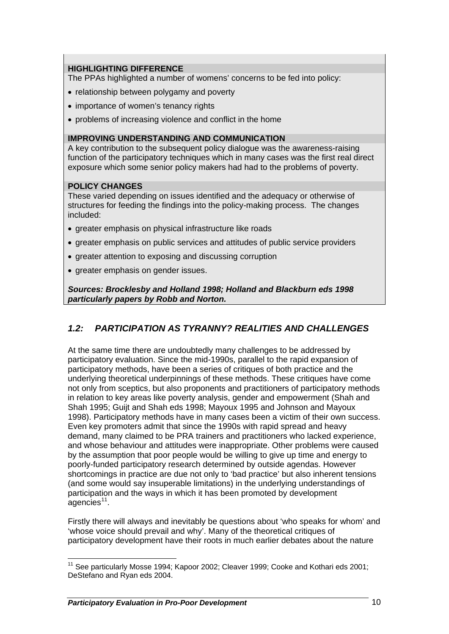### **HIGHLIGHTING DIFFERENCE**

The PPAs highlighted a number of womens' concerns to be fed into policy:

- relationship between polygamy and poverty
- importance of women's tenancy rights
- problems of increasing violence and conflict in the home

#### **IMPROVING UNDERSTANDING AND COMMUNICATION**

A key contribution to the subsequent policy dialogue was the awareness-raising function of the participatory techniques which in many cases was the first real direct exposure which some senior policy makers had had to the problems of poverty.

### **POLICY CHANGES**

These varied depending on issues identified and the adequacy or otherwise of structures for feeding the findings into the policy-making process. The changes included:

- greater emphasis on physical infrastructure like roads
- greater emphasis on public services and attitudes of public service providers
- greater attention to exposing and discussing corruption
- greater emphasis on gender issues.

*Sources: Brocklesby and Holland 1998; Holland and Blackburn eds 1998 particularly papers by Robb and Norton.* 

## *1.2: PARTICIPATION AS TYRANNY? REALITIES AND CHALLENGES*

At the same time there are undoubtedly many challenges to be addressed by participatory evaluation. Since the mid-1990s, parallel to the rapid expansion of participatory methods, have been a series of critiques of both practice and the underlying theoretical underpinnings of these methods. These critiques have come not only from sceptics, but also proponents and practitioners of participatory methods in relation to key areas like poverty analysis, gender and empowerment (Shah and Shah 1995; Guijt and Shah eds 1998; Mayoux 1995 and Johnson and Mayoux 1998). Participatory methods have in many cases been a victim of their own success. Even key promoters admit that since the 1990s with rapid spread and heavy demand, many claimed to be PRA trainers and practitioners who lacked experience, and whose behaviour and attitudes were inappropriate. Other problems were caused by the assumption that poor people would be willing to give up time and energy to poorly-funded participatory research determined by outside agendas. However shortcomings in practice are due not only to 'bad practice' but also inherent tensions (and some would say insuperable limitations) in the underlying understandings of participation and the ways in which it has been promoted by development  $a$ gencies<sup>11</sup>.

Firstly there will always and inevitably be questions about 'who speaks for whom' and 'whose voice should prevail and why'. Many of the theoretical critiques of participatory development have their roots in much earlier debates about the nature

<sup>1</sup>  $11$  See particularly Mosse 1994; Kapoor 2002; Cleaver 1999; Cooke and Kothari eds 2001; DeStefano and Ryan eds 2004.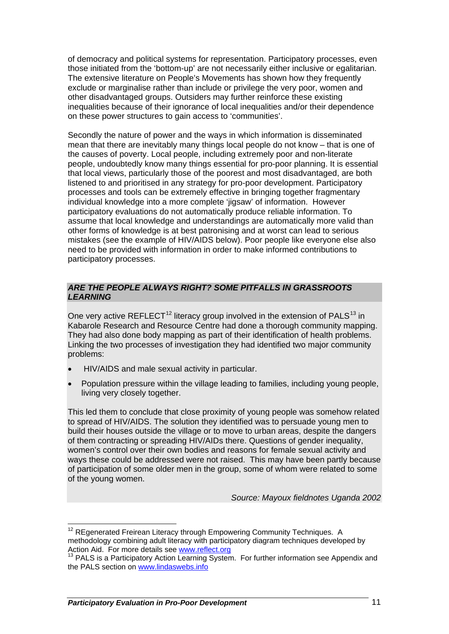of democracy and political systems for representation. Participatory processes, even those initiated from the 'bottom-up' are not necessarily either inclusive or egalitarian. The extensive literature on People's Movements has shown how they frequently exclude or marginalise rather than include or privilege the very poor, women and other disadvantaged groups. Outsiders may further reinforce these existing inequalities because of their ignorance of local inequalities and/or their dependence on these power structures to gain access to 'communities'.

Secondly the nature of power and the ways in which information is disseminated mean that there are inevitably many things local people do not know – that is one of the causes of poverty. Local people, including extremely poor and non-literate people, undoubtedly know many things essential for pro-poor planning. It is essential that local views, particularly those of the poorest and most disadvantaged, are both listened to and prioritised in any strategy for pro-poor development. Participatory processes and tools can be extremely effective in bringing together fragmentary individual knowledge into a more complete 'jigsaw' of information. However participatory evaluations do not automatically produce reliable information. To assume that local knowledge and understandings are automatically more valid than other forms of knowledge is at best patronising and at worst can lead to serious mistakes (see the example of HIV/AIDS below). Poor people like everyone else also need to be provided with information in order to make informed contributions to participatory processes.

#### *ARE THE PEOPLE ALWAYS RIGHT? SOME PITFALLS IN GRASSROOTS LEARNING*

One very active REFLECT<sup>12</sup> literacy group involved in the extension of PALS<sup>13</sup> in Kabarole Research and Resource Centre had done a thorough community mapping. They had also done body mapping as part of their identification of health problems. Linking the two processes of investigation they had identified two major community problems:

- HIV/AIDS and male sexual activity in particular.
- Population pressure within the village leading to families, including young people, living very closely together.

This led them to conclude that close proximity of young people was somehow related to spread of HIV/AIDS. The solution they identified was to persuade young men to build their houses outside the village or to move to urban areas, despite the dangers of them contracting or spreading HIV/AIDs there. Questions of gender inequality, women's control over their own bodies and reasons for female sexual activity and ways these could be addressed were not raised. This may have been partly because of participation of some older men in the group, some of whom were related to some of the young women.

*Source: Mayoux fieldnotes Uganda 2002* 

1

 $12$  REgenerated Freirean Literacy through Empowering Community Techniques. A methodology combining adult literacy with participatory diagram techniques developed by<br>Action Aid. For more details see www.reflect.org

<sup>&</sup>lt;sup>13</sup> PALS is a Participatory Action Learning System. For further information see Appendix and the PALS section on www.lindaswebs.info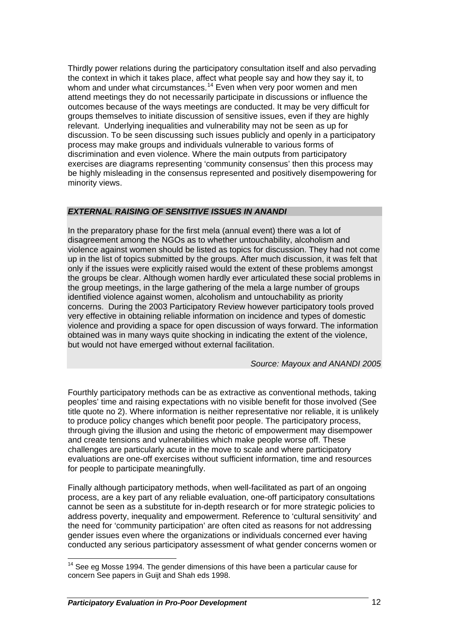Thirdly power relations during the participatory consultation itself and also pervading the context in which it takes place, affect what people say and how they say it, to whom and under what circumstances.<sup>14</sup> Even when very poor women and men attend meetings they do not necessarily participate in discussions or influence the outcomes because of the ways meetings are conducted. It may be very difficult for groups themselves to initiate discussion of sensitive issues, even if they are highly relevant. Underlying inequalities and vulnerability may not be seen as up for discussion. To be seen discussing such issues publicly and openly in a participatory process may make groups and individuals vulnerable to various forms of discrimination and even violence. Where the main outputs from participatory exercises are diagrams representing 'community consensus' then this process may be highly misleading in the consensus represented and positively disempowering for minority views.

### *EXTERNAL RAISING OF SENSITIVE ISSUES IN ANANDI*

In the preparatory phase for the first mela (annual event) there was a lot of disagreement among the NGOs as to whether untouchability, alcoholism and violence against women should be listed as topics for discussion. They had not come up in the list of topics submitted by the groups. After much discussion, it was felt that only if the issues were explicitly raised would the extent of these problems amongst the groups be clear. Although women hardly ever articulated these social problems in the group meetings, in the large gathering of the mela a large number of groups identified violence against women, alcoholism and untouchability as priority concerns. During the 2003 Participatory Review however participatory tools proved very effective in obtaining reliable information on incidence and types of domestic violence and providing a space for open discussion of ways forward. The information obtained was in many ways quite shocking in indicating the extent of the violence, but would not have emerged without external facilitation.

#### *Source: Mayoux and ANANDI 2005*

Fourthly participatory methods can be as extractive as conventional methods, taking peoples' time and raising expectations with no visible benefit for those involved (See title quote no 2). Where information is neither representative nor reliable, it is unlikely to produce policy changes which benefit poor people. The participatory process, through giving the illusion and using the rhetoric of empowerment may disempower and create tensions and vulnerabilities which make people worse off. These challenges are particularly acute in the move to scale and where participatory evaluations are one-off exercises without sufficient information, time and resources for people to participate meaningfully.

Finally although participatory methods, when well-facilitated as part of an ongoing process, are a key part of any reliable evaluation, one-off participatory consultations cannot be seen as a substitute for in-depth research or for more strategic policies to address poverty, inequality and empowerment. Reference to 'cultural sensitivity' and the need for 'community participation' are often cited as reasons for not addressing gender issues even where the organizations or individuals concerned ever having conducted any serious participatory assessment of what gender concerns women or

1

 $14$  See eg Mosse 1994. The gender dimensions of this have been a particular cause for concern See papers in Guijt and Shah eds 1998.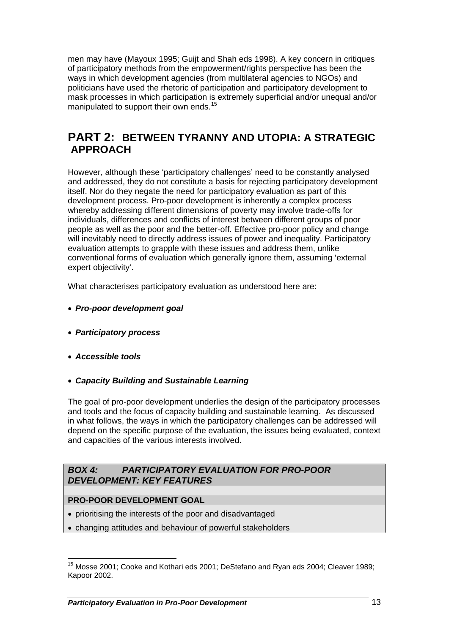men may have (Mayoux 1995; Guijt and Shah eds 1998). A key concern in critiques of participatory methods from the empowerment/rights perspective has been the ways in which development agencies (from multilateral agencies to NGOs) and politicians have used the rhetoric of participation and participatory development to mask processes in which participation is extremely superficial and/or unequal and/or manipulated to support their own ends.<sup>15</sup>

# **PART 2: BETWEEN TYRANNY AND UTOPIA: A STRATEGIC APPROACH**

However, although these 'participatory challenges' need to be constantly analysed and addressed, they do not constitute a basis for rejecting participatory development itself. Nor do they negate the need for participatory evaluation as part of this development process. Pro-poor development is inherently a complex process whereby addressing different dimensions of poverty may involve trade-offs for individuals, differences and conflicts of interest between different groups of poor people as well as the poor and the better-off. Effective pro-poor policy and change will inevitably need to directly address issues of power and inequality. Participatory evaluation attempts to grapple with these issues and address them, unlike conventional forms of evaluation which generally ignore them, assuming 'external expert objectivity'.

What characterises participatory evaluation as understood here are:

- *Pro-poor development goal*
- *Participatory process*
- *Accessible tools*

1

• *Capacity Building and Sustainable Learning*

The goal of pro-poor development underlies the design of the participatory processes and tools and the focus of capacity building and sustainable learning. As discussed in what follows, the ways in which the participatory challenges can be addressed will depend on the specific purpose of the evaluation, the issues being evaluated, context and capacities of the various interests involved.

### *BOX 4: PARTICIPATORY EVALUATION FOR PRO-POOR DEVELOPMENT: KEY FEATURES*

### **PRO-POOR DEVELOPMENT GOAL**

- prioritising the interests of the poor and disadvantaged
- changing attitudes and behaviour of powerful stakeholders

 $15$  Mosse 2001; Cooke and Kothari eds 2001; DeStefano and Ryan eds 2004; Cleaver 1989; Kapoor 2002.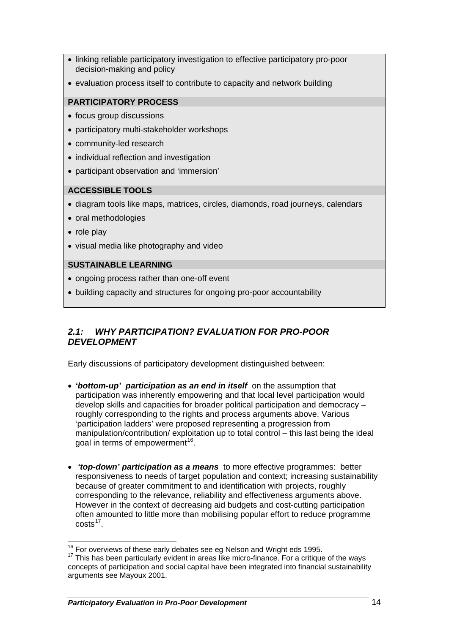- linking reliable participatory investigation to effective participatory pro-poor decision-making and policy
- evaluation process itself to contribute to capacity and network building

### **PARTICIPATORY PROCESS**

- focus group discussions
- participatory multi-stakeholder workshops
- community-led research
- individual reflection and investigation
- participant observation and 'immersion'

### **ACCESSIBLE TOOLS**

- diagram tools like maps, matrices, circles, diamonds, road journeys, calendars
- oral methodologies
- role play
- visual media like photography and video

### **SUSTAINABLE LEARNING**

- ongoing process rather than one-off event
- building capacity and structures for ongoing pro-poor accountability

### *2.1: WHY PARTICIPATION? EVALUATION FOR PRO-POOR DEVELOPMENT*

Early discussions of participatory development distinguished between:

- *'bottom-up' participation as an end in itself* on the assumption that participation was inherently empowering and that local level participation would develop skills and capacities for broader political participation and democracy – roughly corresponding to the rights and process arguments above. Various 'participation ladders' were proposed representing a progression from manipulation/contribution/ exploitation up to total control – this last being the ideal goal in terms of empowerment<sup>16</sup>.
- • *'top-down' participation as a means* to more effective programmes: better responsiveness to needs of target population and context; increasing sustainability because of greater commitment to and identification with projects, roughly corresponding to the relevance, reliability and effectiveness arguments above. However in the context of decreasing aid budgets and cost-cutting participation often amounted to little more than mobilising popular effort to reduce programme  $costs<sup>17</sup>$ .

<sup>&</sup>lt;sup>16</sup> For overviews of these early debates see eg Nelson and Wright eds 1995.

<sup>&</sup>lt;sup>17</sup> This has been particularly evident in areas like micro-finance. For a critique of the ways concepts of participation and social capital have been integrated into financial sustainability arguments see Mayoux 2001.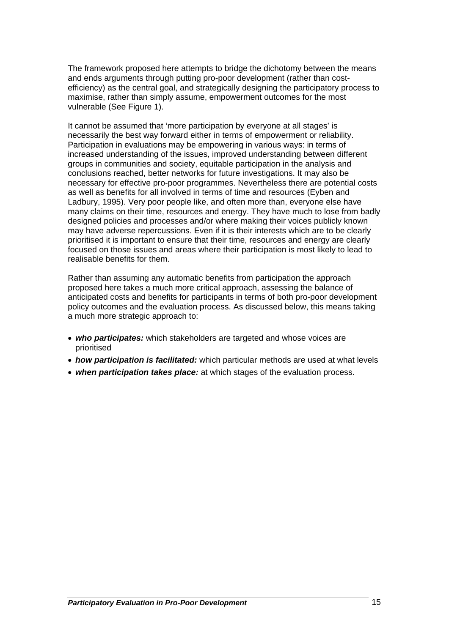The framework proposed here attempts to bridge the dichotomy between the means and ends arguments through putting pro-poor development (rather than costefficiency) as the central goal, and strategically designing the participatory process to maximise, rather than simply assume, empowerment outcomes for the most vulnerable (See Figure 1).

It cannot be assumed that 'more participation by everyone at all stages' is necessarily the best way forward either in terms of empowerment or reliability. Participation in evaluations may be empowering in various ways: in terms of increased understanding of the issues, improved understanding between different groups in communities and society, equitable participation in the analysis and conclusions reached, better networks for future investigations. It may also be necessary for effective pro-poor programmes. Nevertheless there are potential costs as well as benefits for all involved in terms of time and resources (Eyben and Ladbury, 1995). Very poor people like, and often more than, everyone else have many claims on their time, resources and energy. They have much to lose from badly designed policies and processes and/or where making their voices publicly known may have adverse repercussions. Even if it is their interests which are to be clearly prioritised it is important to ensure that their time, resources and energy are clearly focused on those issues and areas where their participation is most likely to lead to realisable benefits for them.

Rather than assuming any automatic benefits from participation the approach proposed here takes a much more critical approach, assessing the balance of anticipated costs and benefits for participants in terms of both pro-poor development policy outcomes and the evaluation process. As discussed below, this means taking a much more strategic approach to:

- *who participates:* which stakeholders are targeted and whose voices are prioritised
- *how participation is facilitated:* which particular methods are used at what levels
- *when participation takes place:* at which stages of the evaluation process.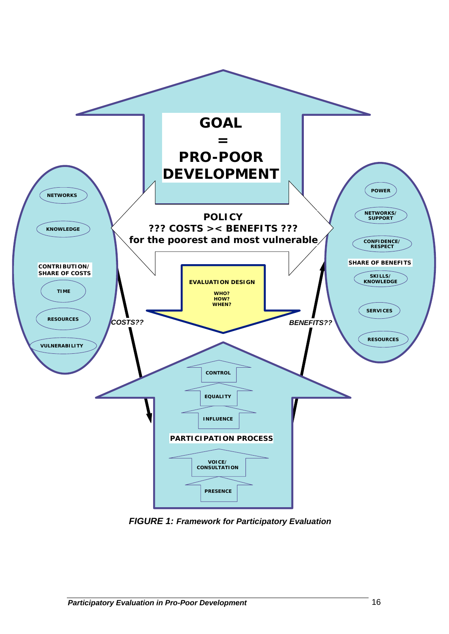

*FIGURE 1: Framework for Participatory Evaluation*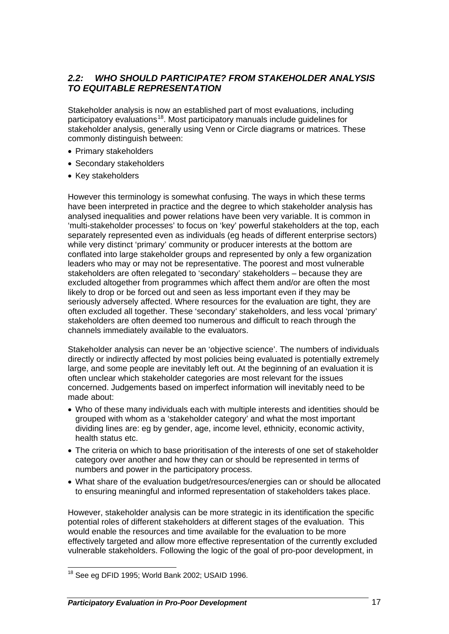### *2.2: WHO SHOULD PARTICIPATE? FROM STAKEHOLDER ANALYSIS TO EQUITABLE REPRESENTATION*

Stakeholder analysis is now an established part of most evaluations, including participatory evaluations<sup>18</sup>. Most participatory manuals include guidelines for stakeholder analysis, generally using Venn or Circle diagrams or matrices. These commonly distinguish between:

- Primary stakeholders
- Secondary stakeholders
- Key stakeholders

However this terminology is somewhat confusing. The ways in which these terms have been interpreted in practice and the degree to which stakeholder analysis has analysed inequalities and power relations have been very variable. It is common in 'multi-stakeholder processes' to focus on 'key' powerful stakeholders at the top, each separately represented even as individuals (eg heads of different enterprise sectors) while very distinct 'primary' community or producer interests at the bottom are conflated into large stakeholder groups and represented by only a few organization leaders who may or may not be representative. The poorest and most vulnerable stakeholders are often relegated to 'secondary' stakeholders – because they are excluded altogether from programmes which affect them and/or are often the most likely to drop or be forced out and seen as less important even if they may be seriously adversely affected. Where resources for the evaluation are tight, they are often excluded all together. These 'secondary' stakeholders, and less vocal 'primary' stakeholders are often deemed too numerous and difficult to reach through the channels immediately available to the evaluators.

Stakeholder analysis can never be an 'objective science'. The numbers of individuals directly or indirectly affected by most policies being evaluated is potentially extremely large, and some people are inevitably left out. At the beginning of an evaluation it is often unclear which stakeholder categories are most relevant for the issues concerned. Judgements based on imperfect information will inevitably need to be made about:

- Who of these many individuals each with multiple interests and identities should be grouped with whom as a 'stakeholder category' and what the most important dividing lines are: eg by gender, age, income level, ethnicity, economic activity, health status etc.
- The criteria on which to base prioritisation of the interests of one set of stakeholder category over another and how they can or should be represented in terms of numbers and power in the participatory process.
- What share of the evaluation budget/resources/energies can or should be allocated to ensuring meaningful and informed representation of stakeholders takes place.

However, stakeholder analysis can be more strategic in its identification the specific potential roles of different stakeholders at different stages of the evaluation. This would enable the resources and time available for the evaluation to be more effectively targeted and allow more effective representation of the currently excluded vulnerable stakeholders. Following the logic of the goal of pro-poor development, in

 $\overline{\phantom{a}}$ 

 $18$  See eg DFID 1995; World Bank 2002; USAID 1996.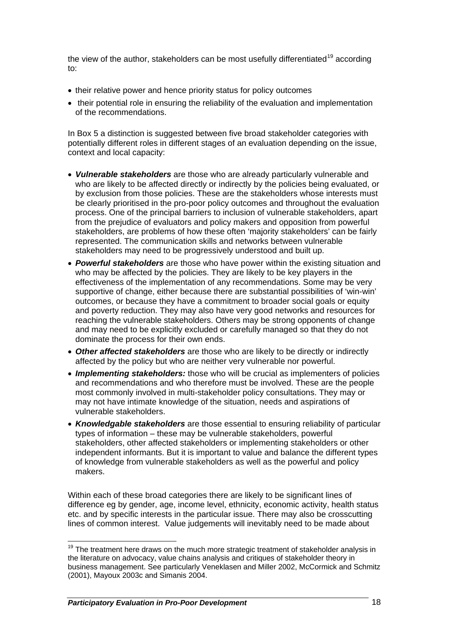the view of the author, stakeholders can be most usefully differentiated<sup>19</sup> according to:

- their relative power and hence priority status for policy outcomes
- their potential role in ensuring the reliability of the evaluation and implementation of the recommendations.

In Box 5 a distinction is suggested between five broad stakeholder categories with potentially different roles in different stages of an evaluation depending on the issue, context and local capacity:

- *Vulnerable stakeholders* are those who are already particularly vulnerable and who are likely to be affected directly or indirectly by the policies being evaluated, or by exclusion from those policies. These are the stakeholders whose interests must be clearly prioritised in the pro-poor policy outcomes and throughout the evaluation process. One of the principal barriers to inclusion of vulnerable stakeholders, apart from the prejudice of evaluators and policy makers and opposition from powerful stakeholders, are problems of how these often 'majority stakeholders' can be fairly represented. The communication skills and networks between vulnerable stakeholders may need to be progressively understood and built up.
- *Powerful stakeholders* are those who have power within the existing situation and who may be affected by the policies. They are likely to be key players in the effectiveness of the implementation of any recommendations. Some may be very supportive of change, either because there are substantial possibilities of 'win-win' outcomes, or because they have a commitment to broader social goals or equity and poverty reduction. They may also have very good networks and resources for reaching the vulnerable stakeholders. Others may be strong opponents of change and may need to be explicitly excluded or carefully managed so that they do not dominate the process for their own ends.
- *Other affected stakeholders* are those who are likely to be directly or indirectly affected by the policy but who are neither very vulnerable nor powerful.
- *Implementing stakeholders:* those who will be crucial as implementers of policies and recommendations and who therefore must be involved. These are the people most commonly involved in multi-stakeholder policy consultations. They may or may not have intimate knowledge of the situation, needs and aspirations of vulnerable stakeholders.
- *Knowledgable stakeholders* are those essential to ensuring reliability of particular types of information – these may be vulnerable stakeholders, powerful stakeholders, other affected stakeholders or implementing stakeholders or other independent informants. But it is important to value and balance the different types of knowledge from vulnerable stakeholders as well as the powerful and policy makers.

Within each of these broad categories there are likely to be significant lines of difference eg by gender, age, income level, ethnicity, economic activity, health status etc. and by specific interests in the particular issue. There may also be crosscutting lines of common interest. Value judgements will inevitably need to be made about

 $\overline{a}$ 

<sup>&</sup>lt;sup>19</sup> The treatment here draws on the much more strategic treatment of stakeholder analysis in the literature on advocacy, value chains analysis and critiques of stakeholder theory in business management. See particularly Veneklasen and Miller 2002, McCormick and Schmitz (2001), Mayoux 2003c and Simanis 2004.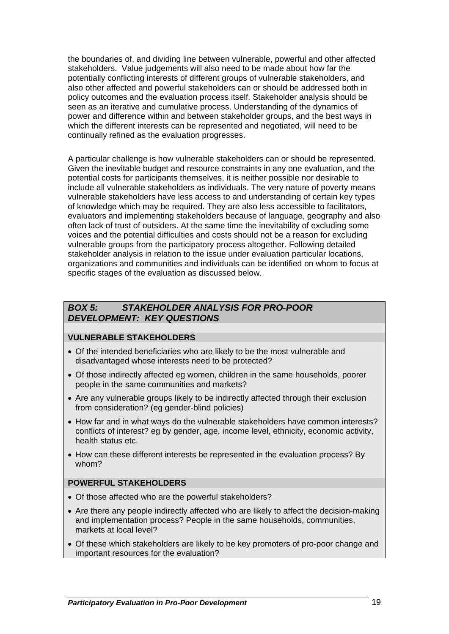the boundaries of, and dividing line between vulnerable, powerful and other affected stakeholders. Value judgements will also need to be made about how far the potentially conflicting interests of different groups of vulnerable stakeholders, and also other affected and powerful stakeholders can or should be addressed both in policy outcomes and the evaluation process itself. Stakeholder analysis should be seen as an iterative and cumulative process. Understanding of the dynamics of power and difference within and between stakeholder groups, and the best ways in which the different interests can be represented and negotiated, will need to be continually refined as the evaluation progresses.

A particular challenge is how vulnerable stakeholders can or should be represented. Given the inevitable budget and resource constraints in any one evaluation, and the potential costs for participants themselves, it is neither possible nor desirable to include all vulnerable stakeholders as individuals. The very nature of poverty means vulnerable stakeholders have less access to and understanding of certain key types of knowledge which may be required. They are also less accessible to facilitators, evaluators and implementing stakeholders because of language, geography and also often lack of trust of outsiders. At the same time the inevitability of excluding some voices and the potential difficulties and costs should not be a reason for excluding vulnerable groups from the participatory process altogether. Following detailed stakeholder analysis in relation to the issue under evaluation particular locations, organizations and communities and individuals can be identified on whom to focus at specific stages of the evaluation as discussed below.

### *BOX 5: STAKEHOLDER ANALYSIS FOR PRO-POOR DEVELOPMENT: KEY QUESTIONS*

#### **VULNERABLE STAKEHOLDERS**

- Of the intended beneficiaries who are likely to be the most vulnerable and disadvantaged whose interests need to be protected?
- Of those indirectly affected eg women, children in the same households, poorer people in the same communities and markets?
- Are any vulnerable groups likely to be indirectly affected through their exclusion from consideration? (eg gender-blind policies)
- How far and in what ways do the vulnerable stakeholders have common interests? conflicts of interest? eg by gender, age, income level, ethnicity, economic activity, health status etc.
- How can these different interests be represented in the evaluation process? By whom?

#### **POWERFUL STAKEHOLDERS**

- Of those affected who are the powerful stakeholders?
- Are there any people indirectly affected who are likely to affect the decision-making and implementation process? People in the same households, communities, markets at local level?
- Of these which stakeholders are likely to be key promoters of pro-poor change and important resources for the evaluation?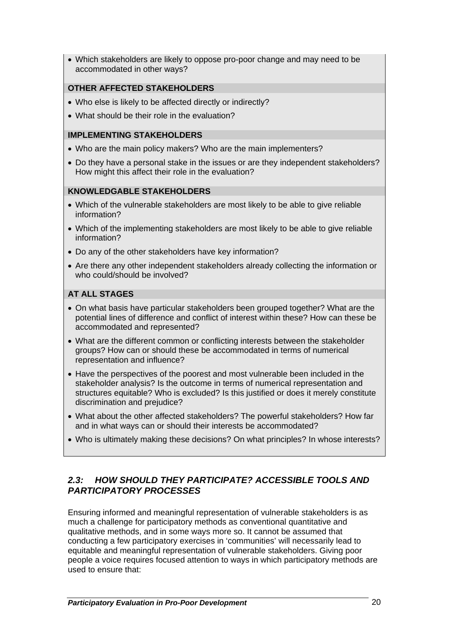• Which stakeholders are likely to oppose pro-poor change and may need to be accommodated in other ways?

### **OTHER AFFECTED STAKEHOLDERS**

- Who else is likely to be affected directly or indirectly?
- What should be their role in the evaluation?

### **IMPLEMENTING STAKEHOLDERS**

- Who are the main policy makers? Who are the main implementers?
- Do they have a personal stake in the issues or are they independent stakeholders? How might this affect their role in the evaluation?

### **KNOWLEDGABLE STAKEHOLDERS**

- Which of the vulnerable stakeholders are most likely to be able to give reliable information?
- Which of the implementing stakeholders are most likely to be able to give reliable information?
- Do any of the other stakeholders have key information?
- Are there any other independent stakeholders already collecting the information or who could/should be involved?

### **AT ALL STAGES**

- On what basis have particular stakeholders been grouped together? What are the potential lines of difference and conflict of interest within these? How can these be accommodated and represented?
- What are the different common or conflicting interests between the stakeholder groups? How can or should these be accommodated in terms of numerical representation and influence?
- Have the perspectives of the poorest and most vulnerable been included in the stakeholder analysis? Is the outcome in terms of numerical representation and structures equitable? Who is excluded? Is this justified or does it merely constitute discrimination and prejudice?
- What about the other affected stakeholders? The powerful stakeholders? How far and in what ways can or should their interests be accommodated?
- Who is ultimately making these decisions? On what principles? In whose interests?

### *2.3: HOW SHOULD THEY PARTICIPATE? ACCESSIBLE TOOLS AND PARTICIPATORY PROCESSES*

Ensuring informed and meaningful representation of vulnerable stakeholders is as much a challenge for participatory methods as conventional quantitative and qualitative methods, and in some ways more so. It cannot be assumed that conducting a few participatory exercises in 'communities' will necessarily lead to equitable and meaningful representation of vulnerable stakeholders. Giving poor people a voice requires focused attention to ways in which participatory methods are used to ensure that: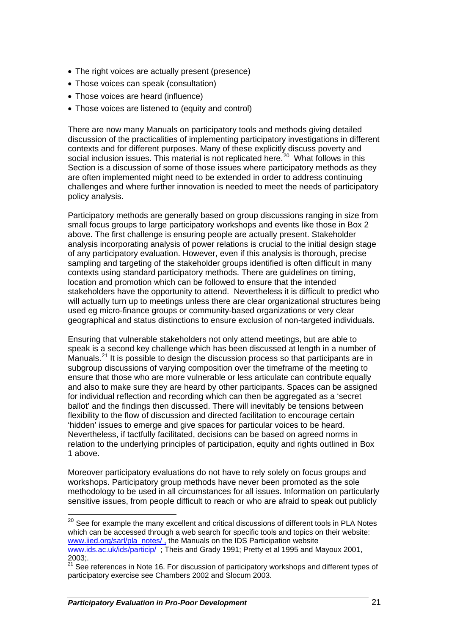- The right voices are actually present (presence)
- Those voices can speak (consultation)
- Those voices are heard (influence)
- Those voices are listened to (equity and control)

There are now many Manuals on participatory tools and methods giving detailed discussion of the practicalities of implementing participatory investigations in different contexts and for different purposes. Many of these explicitly discuss poverty and social inclusion issues. This material is not replicated here.<sup>20</sup> What follows in this Section is a discussion of some of those issues where participatory methods as they are often implemented might need to be extended in order to address continuing challenges and where further innovation is needed to meet the needs of participatory policy analysis.

Participatory methods are generally based on group discussions ranging in size from small focus groups to large participatory workshops and events like those in Box 2 above. The first challenge is ensuring people are actually present. Stakeholder analysis incorporating analysis of power relations is crucial to the initial design stage of any participatory evaluation. However, even if this analysis is thorough, precise sampling and targeting of the stakeholder groups identified is often difficult in many contexts using standard participatory methods. There are guidelines on timing, location and promotion which can be followed to ensure that the intended stakeholders have the opportunity to attend. Nevertheless it is difficult to predict who will actually turn up to meetings unless there are clear organizational structures being used eg micro-finance groups or community-based organizations or very clear geographical and status distinctions to ensure exclusion of non-targeted individuals.

Ensuring that vulnerable stakeholders not only attend meetings, but are able to speak is a second key challenge which has been discussed at length in a number of Manuals.<sup>21</sup> It is possible to design the discussion process so that participants are in subgroup discussions of varying composition over the timeframe of the meeting to ensure that those who are more vulnerable or less articulate can contribute equally and also to make sure they are heard by other participants. Spaces can be assigned for individual reflection and recording which can then be aggregated as a 'secret ballot' and the findings then discussed. There will inevitably be tensions between flexibility to the flow of discussion and directed facilitation to encourage certain 'hidden' issues to emerge and give spaces for particular voices to be heard. Nevertheless, if tactfully facilitated, decisions can be based on agreed norms in relation to the underlying principles of participation, equity and rights outlined in Box 1 above.

Moreover participatory evaluations do not have to rely solely on focus groups and workshops. Participatory group methods have never been promoted as the sole methodology to be used in all circumstances for all issues. Information on particularly sensitive issues, from people difficult to reach or who are afraid to speak out publicly

 $\overline{a}$ 

 $20$  See for example the many excellent and critical discussions of different tools in PLA Notes which can be accessed through a web search for specific tools and topics on their website: www.iied.org/sarl/pla\_notes/ , the Manuals on the IDS Participation website www.ids.ac.uk/ids/particip/ ; Theis and Grady 1991; Pretty et al 1995 and Mayoux 2001,  $2003$ 

<sup>&</sup>lt;sup>21</sup> See references in Note 16. For discussion of participatory workshops and different types of participatory exercise see Chambers 2002 and Slocum 2003.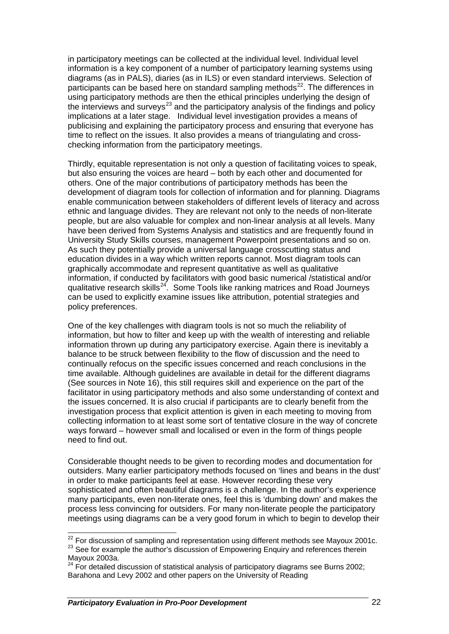in participatory meetings can be collected at the individual level. Individual level information is a key component of a number of participatory learning systems using diagrams (as in PALS), diaries (as in ILS) or even standard interviews. Selection of participants can be based here on standard sampling methods<sup>22</sup>. The differences in using participatory methods are then the ethical principles underlying the design of the interviews and surveys<sup>23</sup> and the participatory analysis of the findings and policy implications at a later stage. Individual level investigation provides a means of publicising and explaining the participatory process and ensuring that everyone has time to reflect on the issues. It also provides a means of triangulating and crosschecking information from the participatory meetings.

Thirdly, equitable representation is not only a question of facilitating voices to speak, but also ensuring the voices are heard – both by each other and documented for others. One of the major contributions of participatory methods has been the development of diagram tools for collection of information and for planning. Diagrams enable communication between stakeholders of different levels of literacy and across ethnic and language divides. They are relevant not only to the needs of non-literate people, but are also valuable for complex and non-linear analysis at all levels. Many have been derived from Systems Analysis and statistics and are frequently found in University Study Skills courses, management Powerpoint presentations and so on. As such they potentially provide a universal language crosscutting status and education divides in a way which written reports cannot. Most diagram tools can graphically accommodate and represent quantitative as well as qualitative information, if conducted by facilitators with good basic numerical /statistical and/or qualitative research skills<sup>24</sup>. Some Tools like ranking matrices and Road Journeys can be used to explicitly examine issues like attribution, potential strategies and policy preferences.

One of the key challenges with diagram tools is not so much the reliability of information, but how to filter and keep up with the wealth of interesting and reliable information thrown up during any participatory exercise. Again there is inevitably a balance to be struck between flexibility to the flow of discussion and the need to continually refocus on the specific issues concerned and reach conclusions in the time available. Although guidelines are available in detail for the different diagrams (See sources in Note 16), this still requires skill and experience on the part of the facilitator in using participatory methods and also some understanding of context and the issues concerned. It is also crucial if participants are to clearly benefit from the investigation process that explicit attention is given in each meeting to moving from collecting information to at least some sort of tentative closure in the way of concrete ways forward – however small and localised or even in the form of things people need to find out.

Considerable thought needs to be given to recording modes and documentation for outsiders. Many earlier participatory methods focused on 'lines and beans in the dust' in order to make participants feel at ease. However recording these very sophisticated and often beautiful diagrams is a challenge. In the author's experience many participants, even non-literate ones, feel this is 'dumbing down' and makes the process less convincing for outsiders. For many non-literate people the participatory meetings using diagrams can be a very good forum in which to begin to develop their

<sup>&</sup>lt;sup>22</sup> For discussion of sampling and representation using different methods see Mayoux 2001c. <sup>23</sup> See for example the author's discussion of Empowering Enquiry and references therein Mayoux 2003a.

<sup>&</sup>lt;sup>24</sup> For detailed discussion of statistical analysis of participatory diagrams see Burns 2002; Barahona and Levy 2002 and other papers on the University of Reading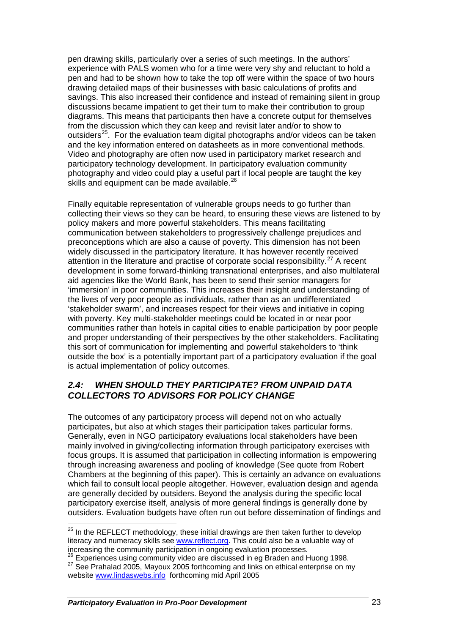pen drawing skills, particularly over a series of such meetings. In the authors' experience with PALS women who for a time were very shy and reluctant to hold a pen and had to be shown how to take the top off were within the space of two hours drawing detailed maps of their businesses with basic calculations of profits and savings. This also increased their confidence and instead of remaining silent in group discussions became impatient to get their turn to make their contribution to group diagrams. This means that participants then have a concrete output for themselves from the discussion which they can keep and revisit later and/or to show to outsiders<sup>25</sup>. For the evaluation team digital photographs and/or videos can be taken and the key information entered on datasheets as in more conventional methods. Video and photography are often now used in participatory market research and participatory technology development. In participatory evaluation community photography and video could play a useful part if local people are taught the key skills and equipment can be made available.<sup>26</sup>

Finally equitable representation of vulnerable groups needs to go further than collecting their views so they can be heard, to ensuring these views are listened to by policy makers and more powerful stakeholders. This means facilitating communication between stakeholders to progressively challenge prejudices and preconceptions which are also a cause of poverty. This dimension has not been widely discussed in the participatory literature. It has however recently received attention in the literature and practise of corporate social responsibility.<sup>27</sup> A recent development in some forward-thinking transnational enterprises, and also multilateral aid agencies like the World Bank, has been to send their senior managers for 'immersion' in poor communities. This increases their insight and understanding of the lives of very poor people as individuals, rather than as an undifferentiated 'stakeholder swarm', and increases respect for their views and initiative in coping with poverty. Key multi-stakeholder meetings could be located in or near poor communities rather than hotels in capital cities to enable participation by poor people and proper understanding of their perspectives by the other stakeholders. Facilitating this sort of communication for implementing and powerful stakeholders to 'think outside the box' is a potentially important part of a participatory evaluation if the goal is actual implementation of policy outcomes.

### *2.4: WHEN SHOULD THEY PARTICIPATE? FROM UNPAID DATA COLLECTORS TO ADVISORS FOR POLICY CHANGE*

The outcomes of any participatory process will depend not on who actually participates, but also at which stages their participation takes particular forms. Generally, even in NGO participatory evaluations local stakeholders have been mainly involved in giving/collecting information through participatory exercises with focus groups. It is assumed that participation in collecting information is empowering through increasing awareness and pooling of knowledge (See quote from Robert Chambers at the beginning of this paper). This is certainly an advance on evaluations which fail to consult local people altogether. However, evaluation design and agenda are generally decided by outsiders. Beyond the analysis during the specific local participatory exercise itself, analysis of more general findings is generally done by outsiders. Evaluation budgets have often run out before dissemination of findings and

1

 $25$  In the REFLECT methodology, these initial drawings are then taken further to develop literacy and numeracy skills see www.reflect.org. This could also be a valuable way of increasing the community participation in ongoing evaluation processes.

 $^{26}$  Experiences using community video are discussed in eg Braden and Huong 1998.<br><sup>27</sup> See Prahalad 2005. Mayoux 2005 forthcoming and links on ethical enterprise on my website www.lindaswebs.info forthcoming mid April 2005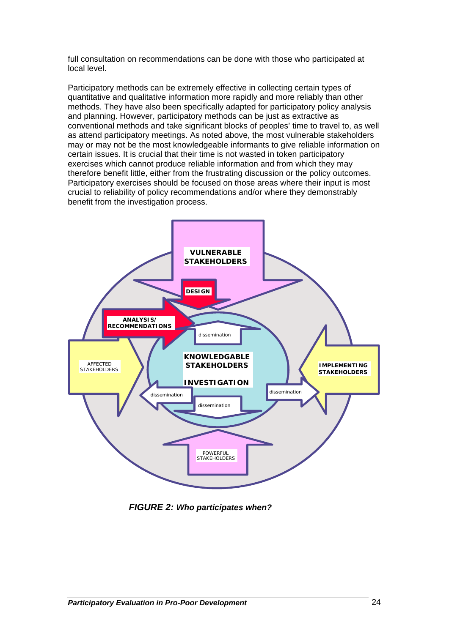full consultation on recommendations can be done with those who participated at local level.

Participatory methods can be extremely effective in collecting certain types of quantitative and qualitative information more rapidly and more reliably than other methods. They have also been specifically adapted for participatory policy analysis and planning. However, participatory methods can be just as extractive as conventional methods and take significant blocks of peoples' time to travel to, as well as attend participatory meetings. As noted above, the most vulnerable stakeholders may or may not be the most knowledgeable informants to give reliable information on certain issues. It is crucial that their time is not wasted in token participatory exercises which cannot produce reliable information and from which they may therefore benefit little, either from the frustrating discussion or the policy outcomes. Participatory exercises should be focused on those areas where their input is most crucial to reliability of policy recommendations and/or where they demonstrably benefit from the investigation process.



*FIGURE 2: Who participates when?*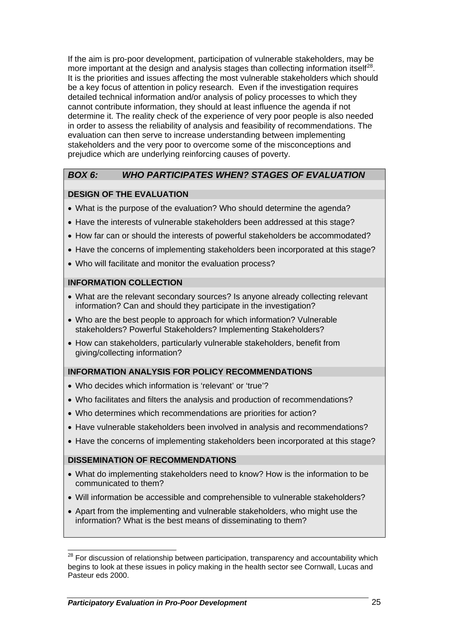If the aim is pro-poor development, participation of vulnerable stakeholders, may be more important at the design and analysis stages than collecting information itself<sup>28</sup>. It is the priorities and issues affecting the most vulnerable stakeholders which should be a key focus of attention in policy research. Even if the investigation requires detailed technical information and/or analysis of policy processes to which they cannot contribute information, they should at least influence the agenda if not determine it. The reality check of the experience of very poor people is also needed in order to assess the reliability of analysis and feasibility of recommendations. The evaluation can then serve to increase understanding between implementing stakeholders and the very poor to overcome some of the misconceptions and prejudice which are underlying reinforcing causes of poverty.

### *BOX 6: WHO PARTICIPATES WHEN? STAGES OF EVALUATION*

### **DESIGN OF THE EVALUATION**

- What is the purpose of the evaluation? Who should determine the agenda?
- Have the interests of vulnerable stakeholders been addressed at this stage?
- How far can or should the interests of powerful stakeholders be accommodated?
- Have the concerns of implementing stakeholders been incorporated at this stage?
- Who will facilitate and monitor the evaluation process?

### **INFORMATION COLLECTION**

- What are the relevant secondary sources? Is anyone already collecting relevant information? Can and should they participate in the investigation?
- Who are the best people to approach for which information? Vulnerable stakeholders? Powerful Stakeholders? Implementing Stakeholders?
- How can stakeholders, particularly vulnerable stakeholders, benefit from giving/collecting information?

### **INFORMATION ANALYSIS FOR POLICY RECOMMENDATIONS**

- Who decides which information is 'relevant' or 'true'?
- Who facilitates and filters the analysis and production of recommendations?
- Who determines which recommendations are priorities for action?
- Have vulnerable stakeholders been involved in analysis and recommendations?
- Have the concerns of implementing stakeholders been incorporated at this stage?

#### **DISSEMINATION OF RECOMMENDATIONS**

- What do implementing stakeholders need to know? How is the information to be communicated to them?
- Will information be accessible and comprehensible to vulnerable stakeholders?
- Apart from the implementing and vulnerable stakeholders, who might use the information? What is the best means of disseminating to them?

1

 $28$  For discussion of relationship between participation, transparency and accountability which begins to look at these issues in policy making in the health sector see Cornwall, Lucas and Pasteur eds 2000.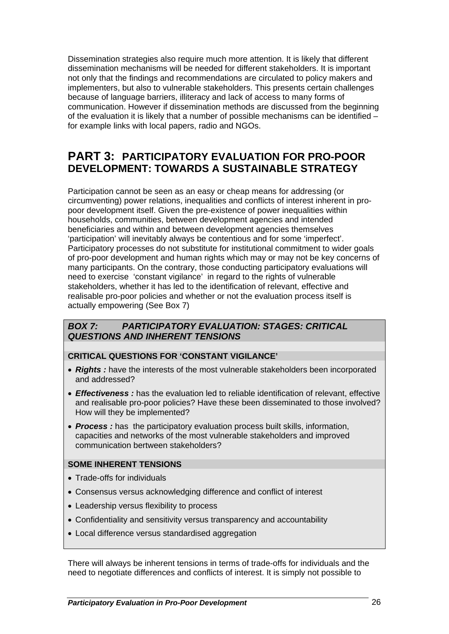Dissemination strategies also require much more attention. It is likely that different dissemination mechanisms will be needed for different stakeholders. It is important not only that the findings and recommendations are circulated to policy makers and implementers, but also to vulnerable stakeholders. This presents certain challenges because of language barriers, illiteracy and lack of access to many forms of communication. However if dissemination methods are discussed from the beginning of the evaluation it is likely that a number of possible mechanisms can be identified – for example links with local papers, radio and NGOs.

# **PART 3: PARTICIPATORY EVALUATION FOR PRO-POOR DEVELOPMENT: TOWARDS A SUSTAINABLE STRATEGY**

Participation cannot be seen as an easy or cheap means for addressing (or circumventing) power relations, inequalities and conflicts of interest inherent in propoor development itself. Given the pre-existence of power inequalities within households, communities, between development agencies and intended beneficiaries and within and between development agencies themselves 'participation' will inevitably always be contentious and for some 'imperfect'. Participatory processes do not substitute for institutional commitment to wider goals of pro-poor development and human rights which may or may not be key concerns of many participants. On the contrary, those conducting participatory evaluations will need to exercise 'constant vigilance' in regard to the rights of vulnerable stakeholders, whether it has led to the identification of relevant, effective and realisable pro-poor policies and whether or not the evaluation process itself is actually empowering (See Box 7)

### *BOX 7: PARTICIPATORY EVALUATION: STAGES: CRITICAL QUESTIONS AND INHERENT TENSIONS*

### **CRITICAL QUESTIONS FOR 'CONSTANT VIGILANCE'**

- **Rights**: have the interests of the most vulnerable stakeholders been incorporated and addressed?
- *Effectiveness :* has the evaluation led to reliable identification of relevant, effective and realisable pro-poor policies? Have these been disseminated to those involved? How will they be implemented?
- *Process :* has the participatory evaluation process built skills, information, capacities and networks of the most vulnerable stakeholders and improved communication bertween stakeholders?

### **SOME INHERENT TENSIONS**

- Trade-offs for individuals
- Consensus versus acknowledging difference and conflict of interest
- Leadership versus flexibility to process
- Confidentiality and sensitivity versus transparency and accountability
- Local difference versus standardised aggregation

There will always be inherent tensions in terms of trade-offs for individuals and the need to negotiate differences and conflicts of interest. It is simply not possible to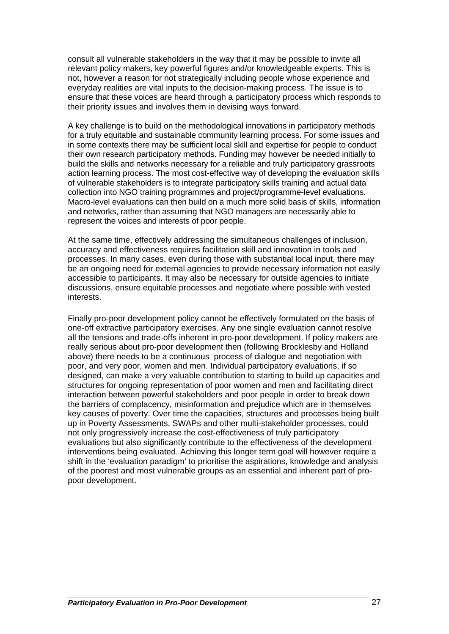consult all vulnerable stakeholders in the way that it may be possible to invite all relevant policy makers, key powerful figures and/or knowledgeable experts. This is not, however a reason for not strategically including people whose experience and everyday realities are vital inputs to the decision-making process. The issue is to ensure that these voices are heard through a participatory process which responds to their priority issues and involves them in devising ways forward.

A key challenge is to build on the methodological innovations in participatory methods for a truly equitable and sustainable community learning process. For some issues and in some contexts there may be sufficient local skill and expertise for people to conduct their own research participatory methods. Funding may however be needed initially to build the skills and networks necessary for a reliable and truly participatory grassroots action learning process. The most cost-effective way of developing the evaluation skills of vulnerable stakeholders is to integrate participatory skills training and actual data collection into NGO training programmes and project/programme-level evaluations. Macro-level evaluations can then build on a much more solid basis of skills, information and networks, rather than assuming that NGO managers are necessarily able to represent the voices and interests of poor people.

At the same time, effectively addressing the simultaneous challenges of inclusion, accuracy and effectiveness requires facilitation skill and innovation in tools and processes. In many cases, even during those with substantial local input, there may be an ongoing need for external agencies to provide necessary information not easily accessible to participants. It may also be necessary for outside agencies to initiate discussions, ensure equitable processes and negotiate where possible with vested interests.

Finally pro-poor development policy cannot be effectively formulated on the basis of one-off extractive participatory exercises. Any one single evaluation cannot resolve all the tensions and trade-offs inherent in pro-poor development. If policy makers are really serious about pro-poor development then (following Brocklesby and Holland above) there needs to be a continuous process of dialogue and negotiation with poor, and very poor, women and men. Individual participatory evaluations, if so designed, can make a very valuable contribution to starting to build up capacities and structures for ongoing representation of poor women and men and facilitating direct interaction between powerful stakeholders and poor people in order to break down the barriers of complacency, misinformation and prejudice which are in themselves key causes of poverty. Over time the capacities, structures and processes being built up in Poverty Assessments, SWAPs and other multi-stakeholder processes, could not only progressively increase the cost-effectiveness of truly participatory evaluations but also significantly contribute to the effectiveness of the development interventions being evaluated. Achieving this longer term goal will however require a shift in the 'evaluation paradigm' to prioritise the aspirations, knowledge and analysis of the poorest and most vulnerable groups as an essential and inherent part of propoor development.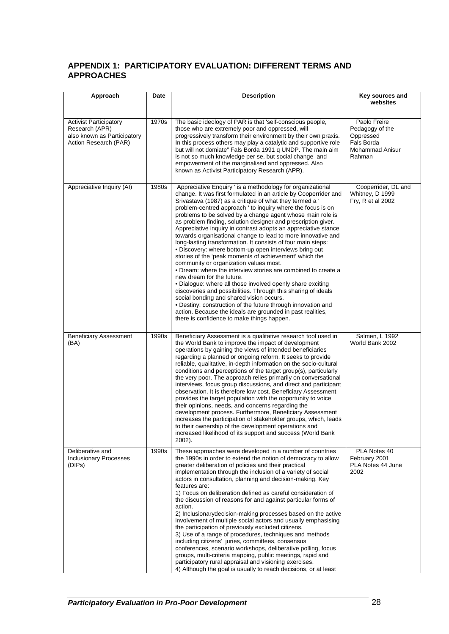### **APPENDIX 1: PARTICIPATORY EVALUATION: DIFFERENT TERMS AND APPROACHES**

| Approach                                                                                                | Date  | <b>Description</b>                                                                                                                                                                                                                                                                                                                                                                                                                                                                                                                                                                                                                                                                                                                                                                                                                                                                                                                                                                                                                                                                                                                                                                                           | Key sources and<br>websites                                                             |
|---------------------------------------------------------------------------------------------------------|-------|--------------------------------------------------------------------------------------------------------------------------------------------------------------------------------------------------------------------------------------------------------------------------------------------------------------------------------------------------------------------------------------------------------------------------------------------------------------------------------------------------------------------------------------------------------------------------------------------------------------------------------------------------------------------------------------------------------------------------------------------------------------------------------------------------------------------------------------------------------------------------------------------------------------------------------------------------------------------------------------------------------------------------------------------------------------------------------------------------------------------------------------------------------------------------------------------------------------|-----------------------------------------------------------------------------------------|
| <b>Activist Participatory</b><br>Research (APR)<br>also known as Participatory<br>Action Research (PAR) | 1970s | The basic ideology of PAR is that 'self-conscious people,<br>those who are extremely poor and oppressed, will<br>progressively transform their environment by their own praxis.<br>In this process others may play a catalytic and supportive role<br>but will not domiate" Fals Borda 1991 q UNDP. The main aim<br>is not so much knowledge per se, but social change and<br>empowerment of the marginalised and oppressed. Also<br>known as Activist Participatory Research (APR).                                                                                                                                                                                                                                                                                                                                                                                                                                                                                                                                                                                                                                                                                                                         | Paolo Freire<br>Pedagogy of the<br>Oppressed<br>Fals Borda<br>Mohammad Anisur<br>Rahman |
| Appreciative Inquiry (AI)                                                                               | 1980s | Appreciative Enquiry ' is a methodology for organizational<br>change. It was first formulated in an article by Cooperrider and<br>Srivastava (1987) as a critique of what they termed a '<br>problem-centred approach ' to inquiry where the focus is on<br>problems to be solved by a change agent whose main role is<br>as problem finding, solution designer and prescription giver.<br>Appreciative inquiry in contrast adopts an appreciative stance<br>towards organisational change to lead to more innovative and<br>long-lasting transformation. It consists of four main steps:<br>• Discovery: where bottom-up open interviews bring out<br>stories of the 'peak moments of achievement' which the<br>community or organization values most.<br>• Dream: where the interview stories are combined to create a<br>new dream for the future.<br>· Dialogue: where all those involved openly share exciting<br>discoveries and possibilities. Through this sharing of ideals<br>social bonding and shared vision occurs.<br>. Destiny: construction of the future through innovation and<br>action. Because the ideals are grounded in past realities,<br>there is confidence to make things happen. | Cooperrider, DL and<br>Whitney, D 1999<br>Fry, R et al 2002                             |
| <b>Beneficiary Assessment</b><br>(BA)                                                                   | 1990s | Beneficiary Assessment is a qualitative research tool used in<br>the World Bank to improve the impact of development<br>operations by gaining the views of intended beneficiaries<br>regarding a planned or ongoing reform. It seeks to provide<br>reliable, qualitative, in-depth information on the socio-cultural<br>conditions and perceptions of the target group(s), particularly<br>the very poor. The approach relies primarily on conversational<br>interviews, focus group discussions, and direct and participant<br>observation. It is therefore low cost. Beneficiary Assessment<br>provides the target population with the opportunity to voice<br>their opinions, needs, and concerns regarding the<br>development process. Furthermore, Beneficiary Assessment<br>increases the participation of stakeholder groups, which, leads<br>to their ownership of the development operations and<br>increased likelihood of its support and success (World Bank<br>2002).                                                                                                                                                                                                                           | Salmen, L 1992<br>World Bank 2002                                                       |
| Deliberative and<br><b>Inclusionary Processes</b><br>(DIPs)                                             | 1990s | These approaches were developed in a number of countries<br>the 1990s in order to extend the notion of democracy to allow<br>greater deliberation of policies and their practical<br>implementation through the inclusion of a variety of social<br>actors in consultation, planning and decision-making. Key<br>features are:<br>1) Focus on deliberation defined as careful consideration of<br>the discussion of reasons for and against particular forms of<br>action.<br>2) Inclusionary decision-making processes based on the active<br>involvement of multiple social actors and usually emphasising<br>the participation of previously excluded citizens.<br>3) Use of a range of procedures, techniques and methods<br>including citizens' juries, committees, consensus<br>conferences, scenario workshops, deliberative polling, focus<br>groups, multi-criteria mapping, public meetings, rapid and<br>participatory rural appraisal and visioning exercises.<br>4) Although the goal is usually to reach decisions, or at least                                                                                                                                                                | PLA Notes 40<br>February 2001<br>PLA Notes 44 June<br>2002                              |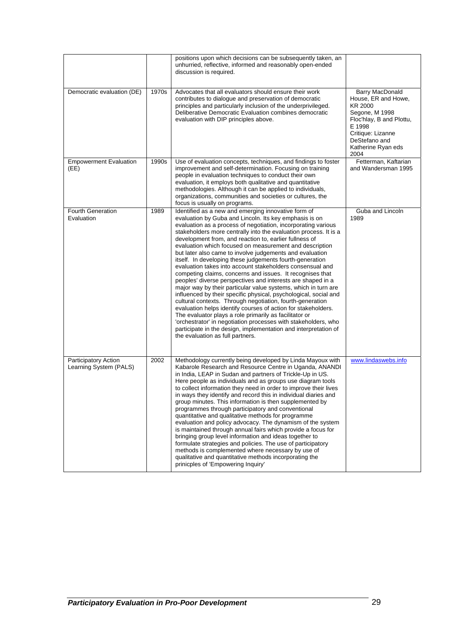|                                                |       | positions upon which decisions can be subsequently taken, an<br>unhurried, reflective, informed and reasonably open-ended<br>discussion is required.                                                                                                                                                                                                                                                                                                                                                                                                                                                                                                                                                                                                                                                                                                                                                                                                                                                                                                                                                                                                                                            |                                                                                                                                                                               |
|------------------------------------------------|-------|-------------------------------------------------------------------------------------------------------------------------------------------------------------------------------------------------------------------------------------------------------------------------------------------------------------------------------------------------------------------------------------------------------------------------------------------------------------------------------------------------------------------------------------------------------------------------------------------------------------------------------------------------------------------------------------------------------------------------------------------------------------------------------------------------------------------------------------------------------------------------------------------------------------------------------------------------------------------------------------------------------------------------------------------------------------------------------------------------------------------------------------------------------------------------------------------------|-------------------------------------------------------------------------------------------------------------------------------------------------------------------------------|
| Democratic evaluation (DE)                     | 1970s | Advocates that all evaluators should ensure their work<br>contributes to dialogue and preservation of democratic<br>principles and particularly inclusion of the underprivileged.<br>Deliberative Democratic Evaluation combines democratic<br>evaluation with DIP principles above.                                                                                                                                                                                                                                                                                                                                                                                                                                                                                                                                                                                                                                                                                                                                                                                                                                                                                                            | Barry MacDonald<br>House, ER and Howe,<br>KR 2000<br>Segone, M 1998<br>Floc'hlay, B and Plottu,<br>E 1998<br>Critique: Lizanne<br>DeStefano and<br>Katherine Ryan eds<br>2004 |
| <b>Empowerment Evaluation</b><br>(EE)          | 1990s | Use of evaluation concepts, techniques, and findings to foster<br>improvement and self-determination. Focusing on training<br>people in evaluation techniques to conduct their own<br>evaluation, it employs both qualitative and quantitative<br>methodologies. Although it can be applied to individuals,<br>organizations, communities and societies or cultures, the<br>focus is usually on programs.                                                                                                                                                                                                                                                                                                                                                                                                                                                                                                                                                                                                                                                                                                                                                                                       | Fetterman, Kaftarian<br>and Wandersman 1995                                                                                                                                   |
| Fourth Generation<br>Evaluation                | 1989  | Identified as a new and emerging innovative form of<br>evaluation by Guba and Lincoln. Its key emphasis is on<br>evaluation as a process of negotiation, incorporating various<br>stakeholders more centrally into the evaluation process. It is a<br>development from, and reaction to, earlier fullness of<br>evaluation which focused on measurement and description<br>but later also came to involve judgements and evaluation<br>itself. In developing these judgements fourth-generation<br>evaluation takes into account stakeholders consensual and<br>competing claims, concerns and issues. It recognises that<br>peoples' diverse perspectives and interests are shaped in a<br>major way by their particular value systems, which in turn are<br>influenced by their specific physical, psychological, social and<br>cultural contexts. Through negotiation, fourth-generation<br>evaluation helps identify courses of action for stakeholders.<br>The evaluator plays a role primarily as facilitator or<br>'orchestrator' in negotiation processes with stakeholders, who<br>participate in the design, implementation and interpretation of<br>the evaluation as full partners. | Guba and Lincoln<br>1989                                                                                                                                                      |
| Participatory Action<br>Learning System (PALS) | 2002  | Methodology currently being developed by Linda Mayoux with<br>Kabarole Research and Resource Centre in Uganda, ANANDI<br>in India, LEAP in Sudan and partners of Trickle-Up in US.<br>Here people as individuals and as groups use diagram tools<br>to collect information they need in order to improve their lives<br>in ways they identify and record this in individual diaries and<br>group minutes. This information is then supplemented by<br>programmes through participatory and conventional<br>quantitative and qualitative methods for programme<br>evaluation and policy advocacy. The dynamism of the system<br>is maintained through annual fairs which provide a focus for<br>bringing group level information and ideas together to<br>formulate strategies and policies. The use of participatory<br>methods is complemented where necessary by use of<br>qualitative and quantitative methods incorporating the<br>prinicples of 'Empowering Inquiry'                                                                                                                                                                                                                       | www.lindaswebs.info                                                                                                                                                           |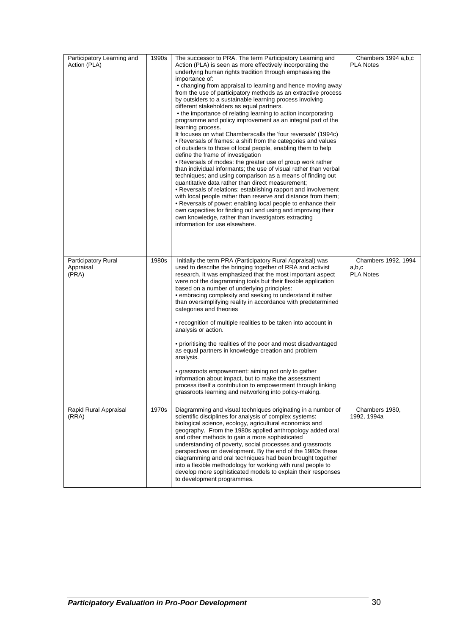| Participatory Learning and<br>Action (PLA) | 1990s | The successor to PRA. The term Participatory Learning and<br>Action (PLA) is seen as more effectively incorporating the<br>underlying human rights tradition through emphasising the<br>importance of:<br>• changing from appraisal to learning and hence moving away<br>from the use of participatory methods as an extractive process<br>by outsiders to a sustainable learning process involving<br>different stakeholders as equal partners.<br>• the importance of relating learning to action incorporating<br>programme and policy improvement as an integral part of the<br>learning process.<br>It focuses on what Chamberscalls the 'four reversals' (1994c)<br>• Reversals of frames: a shift from the categories and values<br>of outsiders to those of local people, enabling them to help<br>define the frame of investigation<br>• Reversals of modes: the greater use of group work rather<br>than individual informants; the use of visual rather than verbal<br>techniques; and using comparison as a means of finding out<br>quantitative data rather than direct measurement;<br>• Reversals of relations: establishing rapport and involvement<br>with local people rather than reserve and distance from them;<br>• Reversals of power: enabling local people to enhance their<br>own capacities for finding out and using and improving their<br>own knowledge, rather than investigators extracting<br>information for use elsewhere. | Chambers 1994 a,b,c<br><b>PLA Notes</b>          |
|--------------------------------------------|-------|---------------------------------------------------------------------------------------------------------------------------------------------------------------------------------------------------------------------------------------------------------------------------------------------------------------------------------------------------------------------------------------------------------------------------------------------------------------------------------------------------------------------------------------------------------------------------------------------------------------------------------------------------------------------------------------------------------------------------------------------------------------------------------------------------------------------------------------------------------------------------------------------------------------------------------------------------------------------------------------------------------------------------------------------------------------------------------------------------------------------------------------------------------------------------------------------------------------------------------------------------------------------------------------------------------------------------------------------------------------------------------------------------------------------------------------------------------------|--------------------------------------------------|
| Participatory Rural<br>Appraisal<br>(PRA)  | 1980s | Initially the term PRA (Participatory Rural Appraisal) was<br>used to describe the bringing together of RRA and activist<br>research. It was emphasized that the most important aspect<br>were not the diagramming tools but their flexible application<br>based on a number of underlying principles:<br>• embracing complexity and seeking to understand it rather<br>than oversimplifying reality in accordance with predetermined<br>categories and theories<br>• recognition of multiple realities to be taken into account in<br>analysis or action.<br>• prioritising the realities of the poor and most disadvantaged<br>as equal partners in knowledge creation and problem<br>analysis.<br>• grassroots empowerment: aiming not only to gather<br>information about impact, but to make the assessment<br>process itself a contribution to empowerment through linking<br>grassroots learning and networking into policy-making.                                                                                                                                                                                                                                                                                                                                                                                                                                                                                                                    | Chambers 1992, 1994<br>a,b,c<br><b>PLA Notes</b> |
| Rapid Rural Appraisal<br>(RRA)             | 1970s | Diagramming and visual techniques originating in a number of<br>scientific disciplines for analysis of complex systems:<br>biological science, ecology, agricultural economics and<br>geography. From the 1980s applied anthropology added oral<br>and other methods to gain a more sophisticated<br>understanding of poverty, social processes and grassroots<br>perspectives on development. By the end of the 1980s these<br>diagramming and oral techniques had been brought together<br>into a flexible methodology for working with rural people to<br>develop more sophisticated models to explain their responses<br>to development programmes.                                                                                                                                                                                                                                                                                                                                                                                                                                                                                                                                                                                                                                                                                                                                                                                                       | Chambers 1980,<br>1992, 1994a                    |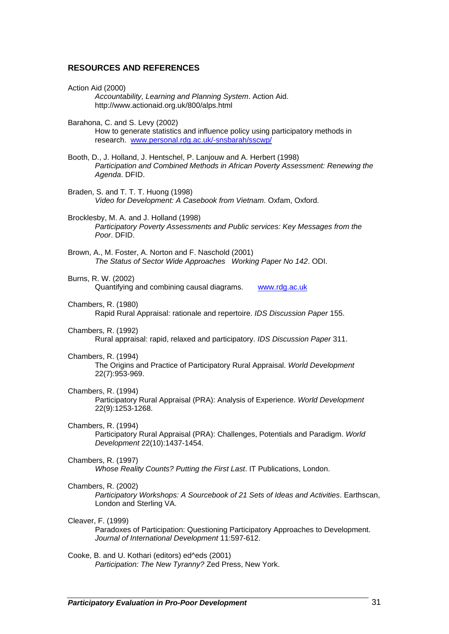#### **RESOURCES AND REFERENCES**

Action Aid (2000)  *Accountability, Learning and Planning System*. Action Aid. http://www.actionaid.org.uk/800/alps.html Barahona, C. and S. Levy (2002) How to generate statistics and influence policy using participatory methods in research. www.personal.rdg.ac.uk/-snsbarah/sscwp/ Booth, D., J. Holland, J. Hentschel, P. Lanjouw and A. Herbert (1998)  *Participation and Combined Methods in African Poverty Assessment: Renewing the Agenda*. DFID. Braden, S. and T. T. T. Huong (1998) *Video for Development: A Casebook from Vietnam*. Oxfam, Oxford. Brocklesby, M. A. and J. Holland (1998) *Participatory Poverty Assessments and Public services: Key Messages from the Poor*. DFID. Brown, A., M. Foster, A. Norton and F. Naschold (2001)  *The Status of Sector Wide Approaches Working Paper No 142*. ODI. Burns, R. W. (2002) Quantifying and combining causal diagrams. www.rdg.ac.uk Chambers, R. (1980) Rapid Rural Appraisal: rationale and repertoire. *IDS Discussion Paper* 155. Chambers, R. (1992) Rural appraisal: rapid, relaxed and participatory. *IDS Discussion Paper* 311. Chambers, R. (1994) The Origins and Practice of Participatory Rural Appraisal. *World Development* 22(7):953-969. Chambers, R. (1994) Participatory Rural Appraisal (PRA): Analysis of Experience. *World Development* 22(9):1253-1268. Chambers, R. (1994) Participatory Rural Appraisal (PRA): Challenges, Potentials and Paradigm. *World Development* 22(10):1437-1454. Chambers, R. (1997) *Whose Reality Counts? Putting the First Last*. IT Publications, London. Chambers, R. (2002) *Participatory Workshops: A Sourcebook of 21 Sets of Ideas and Activities*. Earthscan, London and Sterling VA. Cleaver, F. (1999) Paradoxes of Participation: Questioning Participatory Approaches to Development. *Journal of International Development* 11:597-612. Cooke, B. and U. Kothari (editors) ed^eds (2001) *Participation: The New Tyranny?* Zed Press, New York.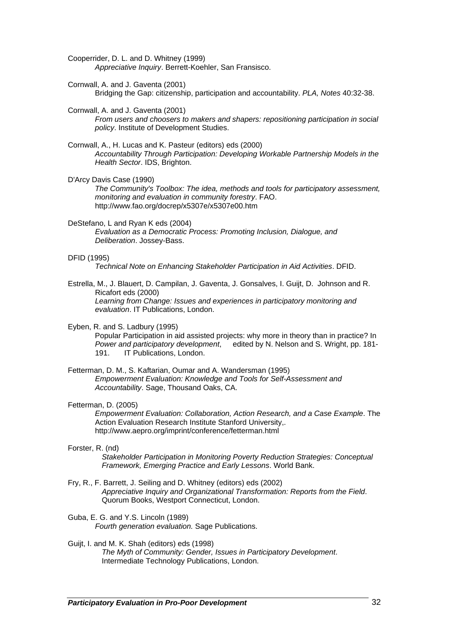Cooperrider, D. L. and D. Whitney (1999) *Appreciative Inquiry*. Berrett-Koehler, San Fransisco.

Cornwall, A. and J. Gaventa (2001) Bridging the Gap: citizenship, participation and accountability. *PLA, Notes* 40:32-38.

Cornwall, A. and J. Gaventa (2001) *From users and choosers to makers and shapers: repositioning participation in social policy*. Institute of Development Studies.

Cornwall, A., H. Lucas and K. Pasteur (editors) eds (2000) *Accountability Through Participation: Developing Workable Partnership Models in the Health Sector*. IDS, Brighton.

D'Arcy Davis Case (1990)

*The Community's Toolbox: The idea, methods and tools for participatory assessment, monitoring and evaluation in community forestry*. FAO. http://www.fao.org/docrep/x5307e/x5307e00.htm

DeStefano, L and Ryan K eds (2004) *Evaluation as a Democratic Process: Promoting Inclusion, Dialogue, and Deliberation*. Jossey-Bass.

DFID (1995)

*Technical Note on Enhancing Stakeholder Participation in Aid Activities*. DFID.

Estrella, M., J. Blauert, D. Campilan, J. Gaventa, J. Gonsalves, I. Guijt, D. Johnson and R. Ricafort eds (2000) *Learning from Change: Issues and experiences in participatory monitoring and evaluation*. IT Publications, London.

Eyben, R. and S. Ladbury (1995)

 Popular Participation in aid assisted projects: why more in theory than in practice? In *Power and participatory development*, edited by N. Nelson and S. Wright, pp. 181- 191. IT Publications, London.

Fetterman, D. M., S. Kaftarian, Oumar and A. Wandersman (1995) *Empowerment Evaluation: Knowledge and Tools for Self-Assessment and Accountability*. Sage, Thousand Oaks, CA.

#### Fetterman, D. (2005)

 *Empowerment Evaluation: Collaboration, Action Research, and a Case Example*. The Action Evaluation Research Institute Stanford University,. http://www.aepro.org/imprint/conference/fetterman.html

#### Forster, R. (nd)

 *Stakeholder Participation in Monitoring Poverty Reduction Strategies: Conceptual Framework, Emerging Practice and Early Lessons*. World Bank.

- Fry, R., F. Barrett, J. Seiling and D. Whitney (editors) eds (2002) *Appreciative Inquiry and Organizational Transformation: Reports from the Field*. Quorum Books, Westport Connecticut, London.
- Guba, E. G. and Y.S. Lincoln (1989) *Fourth generation evaluation.* Sage Publications.
- Guijt, I. and M. K. Shah (editors) eds (1998) *The Myth of Community: Gender, Issues in Participatory Development*. Intermediate Technology Publications, London.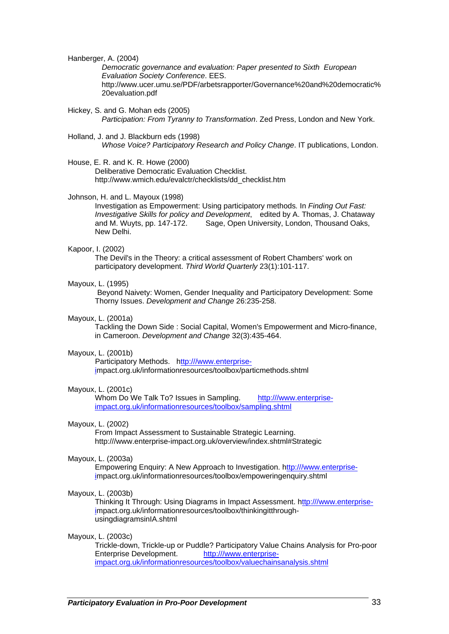Hanberger, A. (2004)

 *Democratic governance and evaluation: Paper presented to Sixth European Evaluation Society Conference*. EES. http://www.ucer.umu.se/PDF/arbetsrapporter/Governance%20and%20democratic% 20evaluation.pdf

Hickey, S. and G. Mohan eds (2005) *Participation: From Tyranny to Transformation*. Zed Press, London and New York.

Holland, J. and J. Blackburn eds (1998) *Whose Voice? Participatory Research and Policy Change*. IT publications, London.

House, E. R. and K. R. Howe (2000) Deliberative Democratic Evaluation Checklist. http://www.wmich.edu/evalctr/checklists/dd\_checklist.htm

Johnson, H. and L. Mayoux (1998)

Investigation as Empowerment: Using participatory methods*.* In *Finding Out Fast: Investigative Skills for policy and Development*, edited by A. Thomas, J. Chataway and M. Wuyts, pp. 147-172. Sage, Open University, London, Thousand Oaks, New Delhi.

Kapoor, I. (2002)

The Devil's in the Theory: a critical assessment of Robert Chambers' work on participatory development. *Third World Quarterly* 23(1):101-117.

#### Mayoux, L. (1995)

Beyond Naivety: Women, Gender Inequality and Participatory Development: Some Thorny Issues. *Development and Change* 26:235-258.

#### Mayoux, L. (2001a)

Tackling the Down Side : Social Capital, Women's Empowerment and Micro-finance, in Cameroon. *Development and Change* 32(3):435-464.

#### Mayoux, L. (2001b)

Participatory Methods. http:///www.enterpriseimpact.org.uk/informationresources/toolbox/particmethods.shtml

#### Mayoux, L. (2001c)

Whom Do We Talk To? Issues in Sampling. http:///www.enterpriseimpact.org.uk/informationresources/toolbox/sampling.shtml

#### Mayoux, L. (2002)

 From Impact Assessment to Sustainable Strategic Learning. http:///www.enterprise-impact.org.uk/overview/index.shtml#Strategic

#### Mayoux, L. (2003a)

Empowering Enquiry: A New Approach to Investigation. http:///www.enterpriseimpact.org.uk/informationresources/toolbox/empoweringenquiry.shtml

#### Mayoux, L. (2003b)

Thinking It Through: Using Diagrams in Impact Assessment. http:///www.enterpriseimpact.org.uk/informationresources/toolbox/thinkingitthroughusingdiagramsinIA.shtml

#### Mayoux, L. (2003c)

Trickle-down, Trickle-up or Puddle? Participatory Value Chains Analysis for Pro-poor Enterprise Development. http:///www.enterpriseimpact.org.uk/informationresources/toolbox/valuechainsanalysis.shtml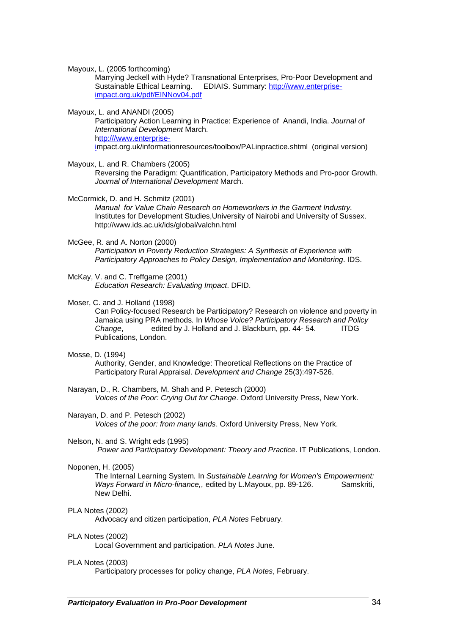Mayoux, L. (2005 forthcoming)

Marrying Jeckell with Hyde? Transnational Enterprises, Pro-Poor Development and Sustainable Ethical Learning. EDIAIS. Summary: http://www.enterpriseimpact.org.uk/pdf/EINNov04.pdf

Mayoux, L. and ANANDI (2005)

Participatory Action Learning in Practice: Experience of Anandi, India. *Journal of International Development* March. http:///www.enterprise-

impact.org.uk/informationresources/toolbox/PALinpractice.shtml (original version)

Mayoux, L. and R. Chambers (2005) Reversing the Paradigm: Quantification, Participatory Methods and Pro-poor Growth. *Journal of International Development* March.

McCormick, D. and H. Schmitz (2001) *Manual for Value Chain Research on Homeworkers in the Garment Industry.* Institutes for Development Studies,University of Nairobi and University of Sussex. http://www.ids.ac.uk/ids/global/valchn.html

- McGee, R. and A. Norton (2000) *Participation in Poverty Reduction Strategies: A Synthesis of Experience with Participatory Approaches to Policy Design, Implementation and Monitoring*. IDS.
- McKay, V. and C. Treffgarne (2001)  *Education Research: Evaluating Impact*. DFID.

#### Moser, C. and J. Holland (1998)

Can Policy-focused Research be Participatory? Research on violence and poverty in Jamaica using PRA methods*.* In *Whose Voice? Participatory Research and Policy Change*, edited by J. Holland and J. Blackburn, pp. 44- 54. ITDG Publications, London.

Mosse, D. (1994)

Authority, Gender, and Knowledge: Theoretical Reflections on the Practice of Participatory Rural Appraisal. *Development and Change* 25(3):497-526.

Narayan, D., R. Chambers, M. Shah and P. Petesch (2000) *Voices of the Poor: Crying Out for Change*. Oxford University Press, New York.

#### Narayan, D. and P. Petesch (2002)

*Voices of the poor: from many lands*. Oxford University Press, New York.

#### Nelson, N. and S. Wright eds (1995)

*Power and Participatory Development: Theory and Practice*. IT Publications, London.

#### Noponen, H. (2005)

The Internal Learning System*.* In *Sustainable Learning for Women's Empowerment: Ways Forward in Micro-finance., edited by L.Mayoux, pp. 89-126.* Samskriti, New Delhi.

#### PLA Notes (2002)

Advocacy and citizen participation, *PLA Notes* February.

#### PLA Notes (2002)

Local Government and participation. *PLA Notes* June.

#### PLA Notes (2003)

Participatory processes for policy change, *PLA Notes*, February.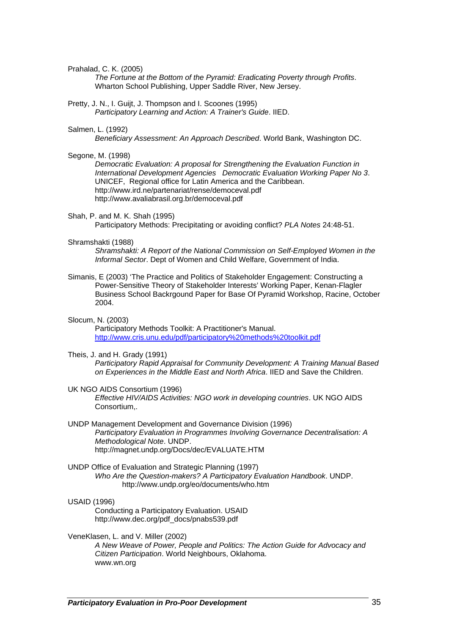#### Prahalad, C. K. (2005)

*The Fortune at the Bottom of the Pyramid: Eradicating Poverty through Profits*. Wharton School Publishing, Upper Saddle River, New Jersey.

Pretty, J. N., I. Guijt, J. Thompson and I. Scoones (1995)  *Participatory Learning and Action: A Trainer's Guide*. IIED.

#### Salmen, L. (1992)

*Beneficiary Assessment: An Approach Described*. World Bank, Washington DC.

#### Segone, M. (1998)

*Democratic Evaluation: A proposal for Strengthening the Evaluation Function in International Development Agencies Democratic Evaluation Working Paper No 3*. UNICEF, Regional office for Latin America and the Caribbean. http://www.ird.ne/partenariat/rense/democeval.pdf http://www.avaliabrasil.org.br/democeval.pdf

Shah, P. and M. K. Shah (1995) Participatory Methods: Precipitating or avoiding conflict? *PLA Notes* 24:48-51.

#### Shramshakti (1988)

*Shramshakti: A Report of the National Commission on Self-Employed Women in the Informal Sector*. Dept of Women and Child Welfare, Government of India.

Simanis, E (2003) 'The Practice and Politics of Stakeholder Engagement: Constructing a Power-Sensitive Theory of Stakeholder Interests' Working Paper, Kenan-Flagler Business School Backrgound Paper for Base Of Pyramid Workshop, Racine, October 2004.

#### Slocum, N. (2003)

 Participatory Methods Toolkit: A Practitioner's Manual. http://www.cris.unu.edu/pdf/participatory%20methods%20toolkit.pdf

#### Theis, J. and H. Grady (1991)

*Participatory Rapid Appraisal for Community Development: A Training Manual Based on Experiences in the Middle East and North Africa*. IIED and Save the Children.

#### UK NGO AIDS Consortium (1996)

*Effective HIV/AIDS Activities: NGO work in developing countries*. UK NGO AIDS Consortium,.

- UNDP Management Development and Governance Division (1996) *Participatory Evaluation in Programmes Involving Governance Decentralisation: A Methodological Note*. UNDP. http://magnet.undp.org/Docs/dec/EVALUATE.HTM
- UNDP Office of Evaluation and Strategic Planning (1997) *Who Are the Question-makers? A Participatory Evaluation Handbook*. UNDP. http://www.undp.org/eo/documents/who.htm

#### USAID (1996)

 Conducting a Participatory Evaluation. USAID http://www.dec.org/pdf\_docs/pnabs539.pdf

#### VeneKlasen, L. and V. Miller (2002)

*A New Weave of Power, People and Politics: The Action Guide for Advocacy and Citizen Participation*. World Neighbours, Oklahoma. www.wn.org